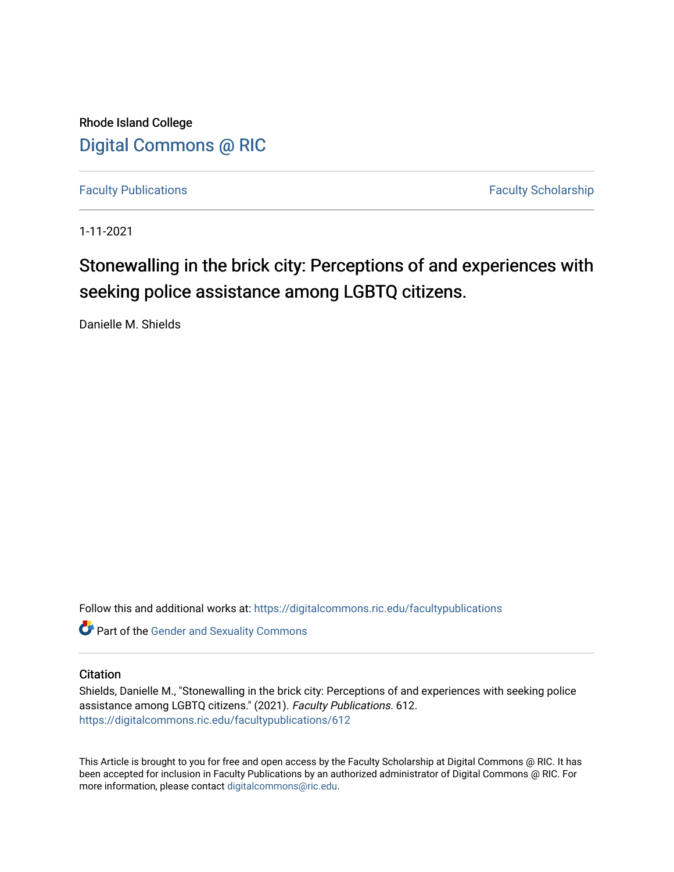Rhode Island College [Digital Commons @ RIC](https://digitalcommons.ric.edu/) 

[Faculty Publications](https://digitalcommons.ric.edu/facultypublications) **Faculty Scholarship** 

1-11-2021

# Stonewalling in the brick city: Perceptions of and experiences with seeking police assistance among LGBTQ citizens.

Danielle M. Shields

Follow this and additional works at: [https://digitalcommons.ric.edu/facultypublications](https://digitalcommons.ric.edu/facultypublications?utm_source=digitalcommons.ric.edu%2Ffacultypublications%2F612&utm_medium=PDF&utm_campaign=PDFCoverPages) 

Part of the [Gender and Sexuality Commons](http://network.bepress.com/hgg/discipline/420?utm_source=digitalcommons.ric.edu%2Ffacultypublications%2F612&utm_medium=PDF&utm_campaign=PDFCoverPages)

## **Citation**

Shields, Danielle M., "Stonewalling in the brick city: Perceptions of and experiences with seeking police assistance among LGBTQ citizens." (2021). Faculty Publications. 612. [https://digitalcommons.ric.edu/facultypublications/612](https://digitalcommons.ric.edu/facultypublications/612?utm_source=digitalcommons.ric.edu%2Ffacultypublications%2F612&utm_medium=PDF&utm_campaign=PDFCoverPages) 

This Article is brought to you for free and open access by the Faculty Scholarship at Digital Commons @ RIC. It has been accepted for inclusion in Faculty Publications by an authorized administrator of Digital Commons @ RIC. For more information, please contact [digitalcommons@ric.edu.](mailto:digitalcommons@ric.edu)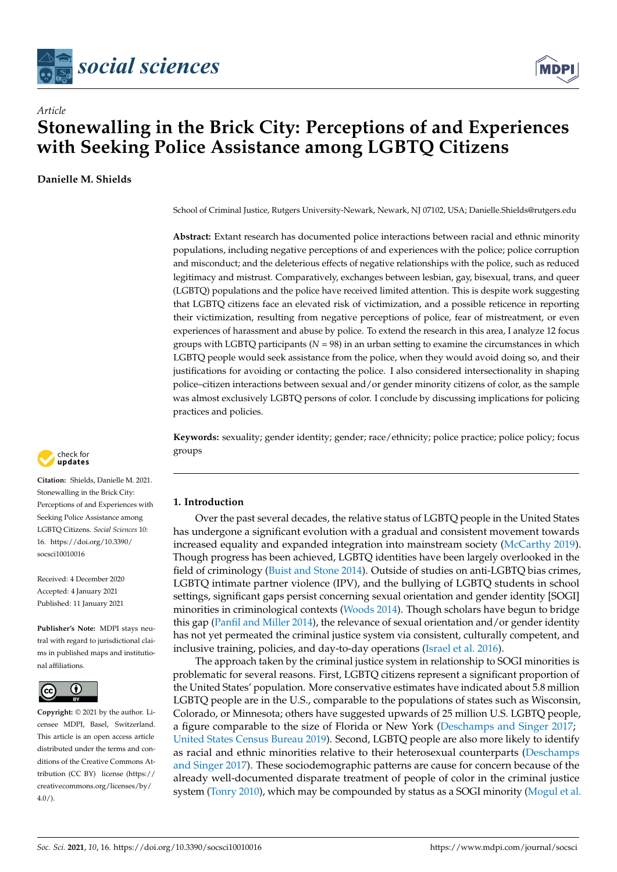



## *Article* **Stonewalling in the Brick City: Perceptions of and Experiences with Seeking Police Assistance among LGBTQ Citizens**

**Danielle M. Shields**

School of Criminal Justice, Rutgers University-Newark, Newark, NJ 07102, USA; Danielle.Shields@rutgers.edu

**Abstract:** Extant research has documented police interactions between racial and ethnic minority populations, including negative perceptions of and experiences with the police; police corruption and misconduct; and the deleterious effects of negative relationships with the police, such as reduced legitimacy and mistrust. Comparatively, exchanges between lesbian, gay, bisexual, trans, and queer (LGBTQ) populations and the police have received limited attention. This is despite work suggesting that LGBTQ citizens face an elevated risk of victimization, and a possible reticence in reporting their victimization, resulting from negative perceptions of police, fear of mistreatment, or even experiences of harassment and abuse by police. To extend the research in this area, I analyze 12 focus groups with LGBTQ participants  $(N = 98)$  in an urban setting to examine the circumstances in which LGBTQ people would seek assistance from the police, when they would avoid doing so, and their justifications for avoiding or contacting the police. I also considered intersectionality in shaping police–citizen interactions between sexual and/or gender minority citizens of color, as the sample was almost exclusively LGBTQ persons of color. I conclude by discussing implications for policing practices and policies.

**Keywords:** sexuality; gender identity; gender; race/ethnicity; police practice; police policy; focus groups

## **1. Introduction**

Over the past several decades, the relative status of LGBTQ people in the United States has undergone a significant evolution with a gradual and consistent movement towards increased equality and expanded integration into mainstream society [\(McCarthy](#page-25-0) [2019\)](#page-25-0). Though progress has been achieved, LGBTQ identities have been largely overlooked in the field of criminology [\(Buist and Stone](#page-23-0) [2014\)](#page-23-0). Outside of studies on anti-LGBTQ bias crimes, LGBTQ intimate partner violence (IPV), and the bullying of LGBTQ students in school settings, significant gaps persist concerning sexual orientation and gender identity [SOGI] minorities in criminological contexts [\(Woods](#page-27-0) [2014\)](#page-27-0). Though scholars have begun to bridge this gap [\(Panfil and Miller](#page-26-0) [2014\)](#page-26-0), the relevance of sexual orientation and/or gender identity has not yet permeated the criminal justice system via consistent, culturally competent, and inclusive training, policies, and day-to-day operations [\(Israel et al.](#page-24-0) [2016\)](#page-24-0).

The approach taken by the criminal justice system in relationship to SOGI minorities is problematic for several reasons. First, LGBTQ citizens represent a significant proportion of the United States' population. More conservative estimates have indicated about 5.8 million LGBTQ people are in the U.S., comparable to the populations of states such as Wisconsin, Colorado, or Minnesota; others have suggested upwards of 25 million U.S. LGBTQ people, a figure comparable to the size of Florida or New York [\(Deschamps and Singer](#page-23-1) [2017;](#page-23-1) [United States Census Bureau](#page-27-1) [2019\)](#page-27-1). Second, LGBTQ people are also more likely to identify as racial and ethnic minorities relative to their heterosexual counterparts [\(Deschamps](#page-23-1) [and Singer](#page-23-1) [2017\)](#page-23-1). These sociodemographic patterns are cause for concern because of the already well-documented disparate treatment of people of color in the criminal justice system [\(Tonry](#page-27-2) [2010\)](#page-27-2), which may be compounded by status as a SOGI minority [\(Mogul et al.](#page-25-1)



**Citation:** Shields, Danielle M. 2021. Stonewalling in the Brick City: Perceptions of and Experiences with Seeking Police Assistance among LGBTQ Citizens. *Social Sciences* 10: 16. [https://doi.org/10.3390/](https://doi.org/10.3390/socsci10010016) [socsci10010016](https://doi.org/10.3390/socsci10010016)

Received: 4 December 2020 Accepted: 4 January 2021 Published: 11 January 2021

**Publisher's Note:** MDPI stays neutral with regard to jurisdictional claims in published maps and institutional affiliations.



**Copyright:** © 2021 by the author. Licensee MDPI, Basel, Switzerland. This article is an open access article distributed under the terms and conditions of the Creative Commons Attribution (CC BY) license [\(https://](https://creativecommons.org/licenses/by/4.0/) [creativecommons.org/licenses/by/](https://creativecommons.org/licenses/by/4.0/)  $4.0/$ ).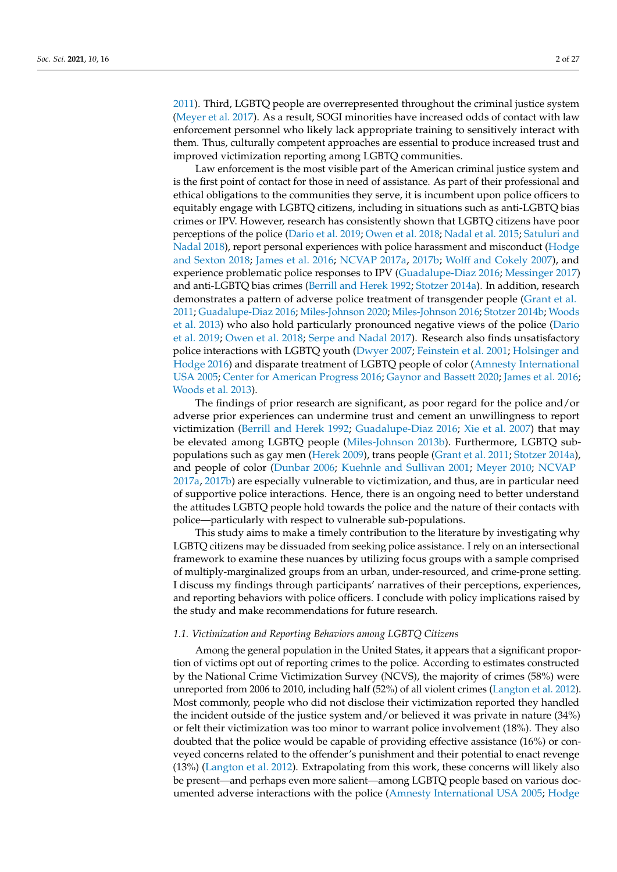[2011\)](#page-25-1). Third, LGBTQ people are overrepresented throughout the criminal justice system [\(Meyer et al.](#page-25-2) [2017\)](#page-25-2). As a result, SOGI minorities have increased odds of contact with law enforcement personnel who likely lack appropriate training to sensitively interact with them. Thus, culturally competent approaches are essential to produce increased trust and improved victimization reporting among LGBTQ communities.

Law enforcement is the most visible part of the American criminal justice system and is the first point of contact for those in need of assistance. As part of their professional and ethical obligations to the communities they serve, it is incumbent upon police officers to equitably engage with LGBTQ citizens, including in situations such as anti-LGBTQ bias crimes or IPV. However, research has consistently shown that LGBTQ citizens have poor perceptions of the police [\(Dario et al.](#page-23-2) [2019;](#page-23-2) [Owen et al.](#page-26-1) [2018;](#page-26-1) [Nadal et al.](#page-26-2) [2015;](#page-26-2) [Satuluri and](#page-26-3) [Nadal](#page-26-3) [2018\)](#page-26-3), report personal experiences with police harassment and misconduct [\(Hodge](#page-24-1) [and Sexton](#page-24-1) [2018;](#page-24-1) [James et al.](#page-24-2) [2016;](#page-24-2) [NCVAP](#page-26-4) [2017a,](#page-26-4) [2017b;](#page-26-5) [Wolff and Cokely](#page-27-3) [2007\)](#page-27-3), and experience problematic police responses to IPV [\(Guadalupe-Diaz](#page-24-3) [2016;](#page-24-3) [Messinger](#page-25-3) [2017\)](#page-25-3) and anti-LGBTQ bias crimes [\(Berrill and Herek](#page-22-0) [1992;](#page-22-0) [Stotzer](#page-27-4) [2014a\)](#page-27-4). In addition, research demonstrates a pattern of adverse police treatment of transgender people [\(Grant et al.](#page-24-4) [2011;](#page-24-4) [Guadalupe-Diaz](#page-24-3) [2016;](#page-24-3) [Miles-Johnson](#page-25-4) [2020;](#page-25-4) [Miles-Johnson](#page-25-5) [2016;](#page-25-5) [Stotzer](#page-27-5) [2014b;](#page-27-5) [Woods](#page-27-6) [et al.](#page-27-6) [2013\)](#page-27-6) who also hold particularly pronounced negative views of the police [\(Dario](#page-23-2) [et al.](#page-23-2) [2019;](#page-23-2) [Owen et al.](#page-26-1) [2018;](#page-26-1) [Serpe and Nadal](#page-26-6) [2017\)](#page-26-6). Research also finds unsatisfactory police interactions with LGBTQ youth [\(Dwyer](#page-23-3) [2007;](#page-23-3) [Feinstein et al.](#page-24-5) [2001;](#page-24-5) [Holsinger and](#page-24-6) [Hodge](#page-24-6) [2016\)](#page-24-6) and disparate treatment of LGBTQ people of color [\(Amnesty International](#page-22-1) [USA](#page-22-1) [2005;](#page-22-1) [Center for American Progress](#page-23-4) [2016;](#page-23-4) [Gaynor and Bassett](#page-24-7) [2020;](#page-24-7) [James et al.](#page-24-2) [2016;](#page-24-2) [Woods et al.](#page-27-6) [2013\)](#page-27-6).

The findings of prior research are significant, as poor regard for the police and/or adverse prior experiences can undermine trust and cement an unwillingness to report victimization [\(Berrill and Herek](#page-22-0) [1992;](#page-22-0) [Guadalupe-Diaz](#page-24-3) [2016;](#page-24-3) [Xie et al.](#page-27-7) [2007\)](#page-27-7) that may be elevated among LGBTQ people [\(Miles-Johnson](#page-25-6) [2013b\)](#page-25-6). Furthermore, LGBTQ subpopulations such as gay men [\(Herek](#page-24-8) [2009\)](#page-24-8), trans people [\(Grant et al.](#page-24-4) [2011;](#page-24-4) [Stotzer](#page-27-4) [2014a\)](#page-27-4), and people of color [\(Dunbar](#page-23-5) [2006;](#page-23-5) [Kuehnle and Sullivan](#page-25-7) [2001;](#page-25-7) [Meyer](#page-25-8) [2010;](#page-25-8) [NCVAP](#page-26-4) [2017a,](#page-26-4) [2017b\)](#page-26-5) are especially vulnerable to victimization, and thus, are in particular need of supportive police interactions. Hence, there is an ongoing need to better understand the attitudes LGBTQ people hold towards the police and the nature of their contacts with police—particularly with respect to vulnerable sub-populations.

This study aims to make a timely contribution to the literature by investigating why LGBTQ citizens may be dissuaded from seeking police assistance. I rely on an intersectional framework to examine these nuances by utilizing focus groups with a sample comprised of multiply-marginalized groups from an urban, under-resourced, and crime-prone setting. I discuss my findings through participants' narratives of their perceptions, experiences, and reporting behaviors with police officers. I conclude with policy implications raised by the study and make recommendations for future research.

### *1.1. Victimization and Reporting Behaviors among LGBTQ Citizens*

Among the general population in the United States, it appears that a significant proportion of victims opt out of reporting crimes to the police. According to estimates constructed by the National Crime Victimization Survey (NCVS), the majority of crimes (58%) were unreported from 2006 to 2010, including half (52%) of all violent crimes [\(Langton et al.](#page-25-9) [2012\)](#page-25-9). Most commonly, people who did not disclose their victimization reported they handled the incident outside of the justice system and/or believed it was private in nature (34%) or felt their victimization was too minor to warrant police involvement (18%). They also doubted that the police would be capable of providing effective assistance (16%) or conveyed concerns related to the offender's punishment and their potential to enact revenge (13%) [\(Langton et al.](#page-25-9) [2012\)](#page-25-9). Extrapolating from this work, these concerns will likely also be present—and perhaps even more salient—among LGBTQ people based on various documented adverse interactions with the police [\(Amnesty International USA](#page-22-1) [2005;](#page-22-1) [Hodge](#page-24-1)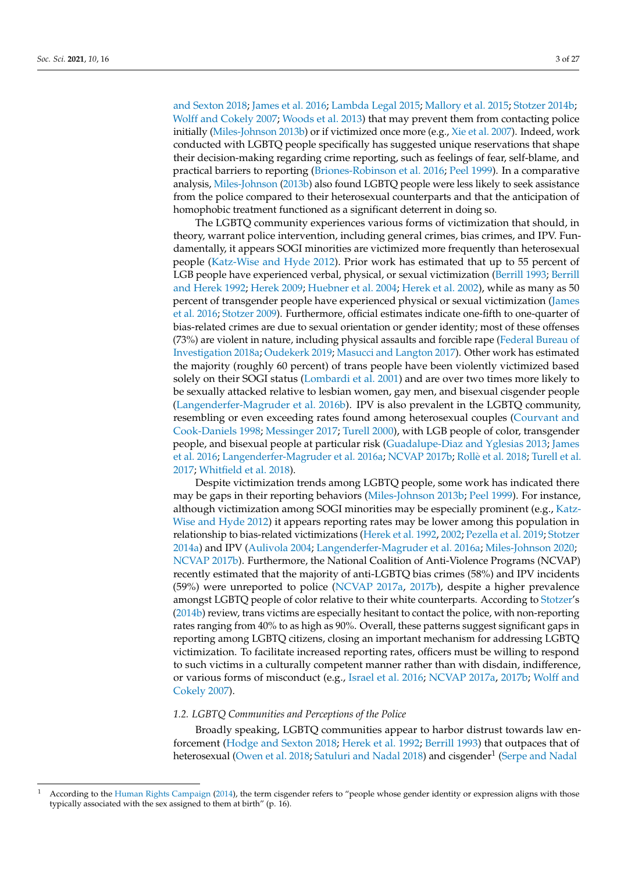[and Sexton](#page-24-1) [2018;](#page-24-1) [James et al.](#page-24-2) [2016;](#page-24-2) [Lambda Legal](#page-25-10) [2015;](#page-25-10) [Mallory et al.](#page-25-11) [2015;](#page-25-11) [Stotzer](#page-27-5) [2014b;](#page-27-5) [Wolff and Cokely](#page-27-3) [2007;](#page-27-3) [Woods et al.](#page-27-6) [2013\)](#page-27-6) that may prevent them from contacting police initially [\(Miles-Johnson](#page-25-6) [2013b\)](#page-25-6) or if victimized once more (e.g., [Xie et al.](#page-27-7) [2007\)](#page-27-7). Indeed, work conducted with LGBTQ people specifically has suggested unique reservations that shape their decision-making regarding crime reporting, such as feelings of fear, self-blame, and practical barriers to reporting [\(Briones-Robinson et al.](#page-23-6) [2016;](#page-23-6) [Peel](#page-26-7) [1999\)](#page-26-7). In a comparative analysis, [Miles-Johnson](#page-25-6) [\(2013b\)](#page-25-6) also found LGBTQ people were less likely to seek assistance from the police compared to their heterosexual counterparts and that the anticipation of homophobic treatment functioned as a significant deterrent in doing so.

The LGBTQ community experiences various forms of victimization that should, in theory, warrant police intervention, including general crimes, bias crimes, and IPV. Fundamentally, it appears SOGI minorities are victimized more frequently than heterosexual people [\(Katz-Wise and Hyde](#page-24-9) [2012\)](#page-24-9). Prior work has estimated that up to 55 percent of LGB people have experienced verbal, physical, or sexual victimization [\(Berrill](#page-22-2) [1993;](#page-22-2) [Berrill](#page-22-0) [and Herek](#page-22-0) [1992;](#page-22-0) [Herek](#page-24-8) [2009;](#page-24-8) [Huebner et al.](#page-24-10) [2004;](#page-24-10) [Herek et al.](#page-24-11) [2002\)](#page-24-11), while as many as 50 percent of transgender people have experienced physical or sexual victimization [\(James](#page-24-2) [et al.](#page-24-2) [2016;](#page-24-2) [Stotzer](#page-27-8) [2009\)](#page-27-8). Furthermore, official estimates indicate one-fifth to one-quarter of bias-related crimes are due to sexual orientation or gender identity; most of these offenses (73%) are violent in nature, including physical assaults and forcible rape [\(Federal Bureau of](#page-24-12) [Investigation](#page-24-12) [2018a;](#page-24-12) [Oudekerk](#page-26-8) [2019;](#page-26-8) [Masucci and Langton](#page-25-12) [2017\)](#page-25-12). Other work has estimated the majority (roughly 60 percent) of trans people have been violently victimized based solely on their SOGI status [\(Lombardi et al.](#page-25-13) [2001\)](#page-25-13) and are over two times more likely to be sexually attacked relative to lesbian women, gay men, and bisexual cisgender people [\(Langenderfer-Magruder et al.](#page-25-14) [2016b\)](#page-25-14). IPV is also prevalent in the LGBTQ community, resembling or even exceeding rates found among heterosexual couples [\(Courvant and](#page-23-7) [Cook-Daniels](#page-23-7) [1998;](#page-23-7) [Messinger](#page-25-3) [2017;](#page-25-3) [Turell](#page-27-9) [2000\)](#page-27-9), with LGB people of color, transgender people, and bisexual people at particular risk [\(Guadalupe-Diaz and Yglesias](#page-24-13) [2013;](#page-24-13) [James](#page-24-2) [et al.](#page-24-2) [2016;](#page-24-2) [Langenderfer-Magruder et al.](#page-25-15) [2016a;](#page-25-15) [NCVAP](#page-26-5) [2017b;](#page-26-5) Rollè [et al.](#page-26-9) [2018;](#page-26-9) [Turell et al.](#page-27-10) [2017;](#page-27-10) [Whitfield et al.](#page-27-11) [2018\)](#page-27-11).

Despite victimization trends among LGBTQ people, some work has indicated there may be gaps in their reporting behaviors [\(Miles-Johnson](#page-25-6) [2013b;](#page-25-6) [Peel](#page-26-7) [1999\)](#page-26-7). For instance, although victimization among SOGI minorities may be especially prominent (e.g., [Katz-](#page-24-9)[Wise and Hyde](#page-24-9) [2012\)](#page-24-9) it appears reporting rates may be lower among this population in relationship to bias-related victimizations [\(Herek et al.](#page-24-14) [1992,](#page-24-14) [2002;](#page-24-11) [Pezella et al.](#page-26-10) [2019;](#page-26-10) [Stotzer](#page-27-4) [2014a\)](#page-27-4) and IPV [\(Aulivola](#page-22-3) [2004;](#page-22-3) [Langenderfer-Magruder et al.](#page-25-15) [2016a;](#page-25-15) [Miles-Johnson](#page-25-4) [2020;](#page-25-4) [NCVAP](#page-26-5) [2017b\)](#page-26-5). Furthermore, the National Coalition of Anti-Violence Programs (NCVAP) recently estimated that the majority of anti-LGBTQ bias crimes (58%) and IPV incidents (59%) were unreported to police [\(NCVAP](#page-26-4) [2017a,](#page-26-4) [2017b\)](#page-26-5), despite a higher prevalence amongst LGBTQ people of color relative to their white counterparts. According to [Stotzer'](#page-27-5)s [\(2014b\)](#page-27-5) review, trans victims are especially hesitant to contact the police, with non-reporting rates ranging from 40% to as high as 90%. Overall, these patterns suggest significant gaps in reporting among LGBTQ citizens, closing an important mechanism for addressing LGBTQ victimization. To facilitate increased reporting rates, officers must be willing to respond to such victims in a culturally competent manner rather than with disdain, indifference, or various forms of misconduct (e.g., [Israel et al.](#page-24-0) [2016;](#page-24-0) [NCVAP](#page-26-4) [2017a,](#page-26-4) [2017b;](#page-26-5) [Wolff and](#page-27-3) [Cokely](#page-27-3) [2007\)](#page-27-3).

### *1.2. LGBTQ Communities and Perceptions of the Police*

Broadly speaking, LGBTQ communities appear to harbor distrust towards law enforcement [\(Hodge and Sexton](#page-24-1) [2018;](#page-24-1) [Herek et al.](#page-24-14) [1992;](#page-24-14) [Berrill](#page-22-2) [1993\)](#page-22-2) that outpaces that of heterosexual [\(Owen et al.](#page-26-1) [2018;](#page-26-1) [Satuluri and Nadal](#page-26-3) [2018\)](#page-26-3) and cisgender $^1$  [\(Serpe and Nadal](#page-26-6)

According to the Human Rights Campaign (20[1](#page-26-6)4), the term cisgender refers to "people whose gender identity or expression aligns with those typically associated with the sex assigned to them at birth" (p. 16).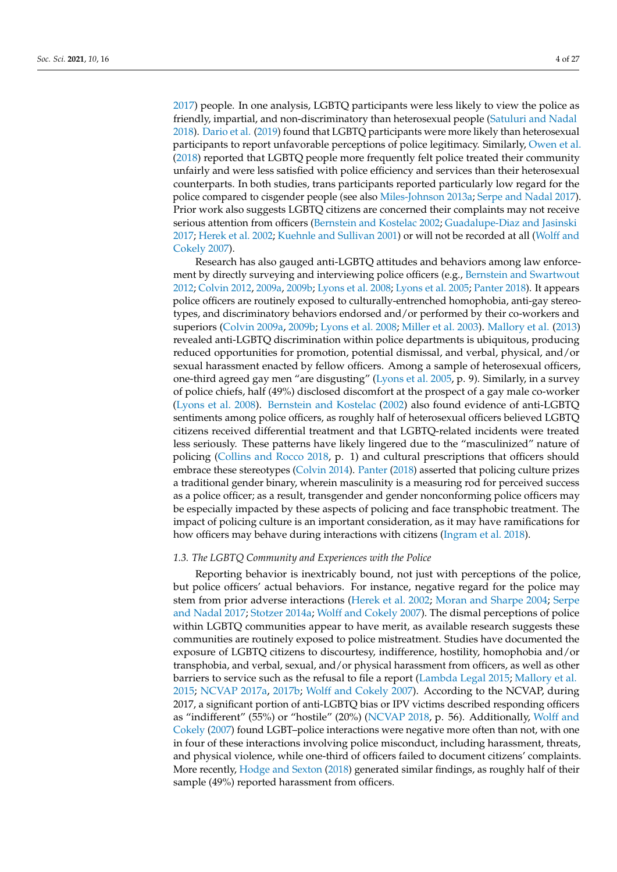[2017\)](#page-26-6) people. In one analysis, LGBTQ participants were less likely to view the police as friendly, impartial, and non-discriminatory than heterosexual people [\(Satuluri and Nadal](#page-26-3) [2018\)](#page-26-3). [Dario et al.](#page-23-2) [\(2019\)](#page-23-2) found that LGBTQ participants were more likely than heterosexual participants to report unfavorable perceptions of police legitimacy. Similarly, [Owen et al.](#page-26-1) [\(2018\)](#page-26-1) reported that LGBTQ people more frequently felt police treated their community unfairly and were less satisfied with police efficiency and services than their heterosexual counterparts. In both studies, trans participants reported particularly low regard for the police compared to cisgender people (see also [Miles-Johnson](#page-25-16) [2013a;](#page-25-16) [Serpe and Nadal](#page-26-6) [2017\)](#page-26-6). Prior work also suggests LGBTQ citizens are concerned their complaints may not receive serious attention from officers [\(Bernstein and Kostelac](#page-22-4) [2002;](#page-22-4) [Guadalupe-Diaz and Jasinski](#page-24-16) [2017;](#page-24-16) [Herek et al.](#page-24-11) [2002;](#page-24-11) [Kuehnle and Sullivan](#page-25-7) [2001\)](#page-25-7) or will not be recorded at all [\(Wolff and](#page-27-3) [Cokely](#page-27-3) [2007\)](#page-27-3).

Research has also gauged anti-LGBTQ attitudes and behaviors among law enforcement by directly surveying and interviewing police officers (e.g., [Bernstein and Swartwout](#page-22-5) [2012;](#page-22-5) [Colvin](#page-23-8) [2012,](#page-23-8) [2009a,](#page-23-9) [2009b;](#page-23-10) [Lyons et al.](#page-25-17) [2008;](#page-25-17) [Lyons et al.](#page-25-18) [2005;](#page-25-18) [Panter](#page-26-11) [2018\)](#page-26-11). It appears police officers are routinely exposed to culturally-entrenched homophobia, anti-gay stereotypes, and discriminatory behaviors endorsed and/or performed by their co-workers and superiors [\(Colvin](#page-23-9) [2009a,](#page-23-9) [2009b;](#page-23-10) [Lyons et al.](#page-25-17) [2008;](#page-25-17) [Miller et al.](#page-25-19) [2003\)](#page-25-19). [Mallory et al.](#page-25-20) [\(2013\)](#page-25-20) revealed anti-LGBTQ discrimination within police departments is ubiquitous, producing reduced opportunities for promotion, potential dismissal, and verbal, physical, and/or sexual harassment enacted by fellow officers. Among a sample of heterosexual officers, one-third agreed gay men "are disgusting" [\(Lyons et al.](#page-25-18) [2005,](#page-25-18) p. 9). Similarly, in a survey of police chiefs, half (49%) disclosed discomfort at the prospect of a gay male co-worker [\(Lyons et al.](#page-25-17) [2008\)](#page-25-17). [Bernstein and Kostelac](#page-22-4) [\(2002\)](#page-22-4) also found evidence of anti-LGBTQ sentiments among police officers, as roughly half of heterosexual officers believed LGBTQ citizens received differential treatment and that LGBTQ-related incidents were treated less seriously. These patterns have likely lingered due to the "masculinized" nature of policing [\(Collins and Rocco](#page-23-11) [2018,](#page-23-11) p. 1) and cultural prescriptions that officers should embrace these stereotypes [\(Colvin](#page-23-12) [2014\)](#page-23-12). [Panter](#page-26-11) [\(2018\)](#page-26-11) asserted that policing culture prizes a traditional gender binary, wherein masculinity is a measuring rod for perceived success as a police officer; as a result, transgender and gender nonconforming police officers may be especially impacted by these aspects of policing and face transphobic treatment. The impact of policing culture is an important consideration, as it may have ramifications for how officers may behave during interactions with citizens [\(Ingram et al.](#page-24-17) [2018\)](#page-24-17).

## *1.3. The LGBTQ Community and Experiences with the Police*

Reporting behavior is inextricably bound, not just with perceptions of the police, but police officers' actual behaviors. For instance, negative regard for the police may stem from prior adverse interactions [\(Herek et al.](#page-24-11) [2002;](#page-24-11) [Moran and Sharpe](#page-25-21) [2004;](#page-25-21) [Serpe](#page-26-6) [and Nadal](#page-26-6) [2017;](#page-26-6) [Stotzer](#page-27-4) [2014a;](#page-27-4) [Wolff and Cokely](#page-27-3) [2007\)](#page-27-3). The dismal perceptions of police within LGBTQ communities appear to have merit, as available research suggests these communities are routinely exposed to police mistreatment. Studies have documented the exposure of LGBTQ citizens to discourtesy, indifference, hostility, homophobia and/or transphobia, and verbal, sexual, and/or physical harassment from officers, as well as other barriers to service such as the refusal to file a report [\(Lambda Legal](#page-25-10) [2015;](#page-25-10) [Mallory et al.](#page-25-11) [2015;](#page-25-11) [NCVAP](#page-26-4) [2017a,](#page-26-4) [2017b;](#page-26-5) [Wolff and Cokely](#page-27-3) [2007\)](#page-27-3). According to the NCVAP, during 2017, a significant portion of anti-LGBTQ bias or IPV victims described responding officers as "indifferent" (55%) or "hostile" (20%) [\(NCVAP](#page-26-12) [2018,](#page-26-12) p. 56). Additionally, [Wolff and](#page-27-3) [Cokely](#page-27-3) [\(2007\)](#page-27-3) found LGBT–police interactions were negative more often than not, with one in four of these interactions involving police misconduct, including harassment, threats, and physical violence, while one-third of officers failed to document citizens' complaints. More recently, [Hodge and Sexton](#page-24-1) [\(2018\)](#page-24-1) generated similar findings, as roughly half of their sample (49%) reported harassment from officers.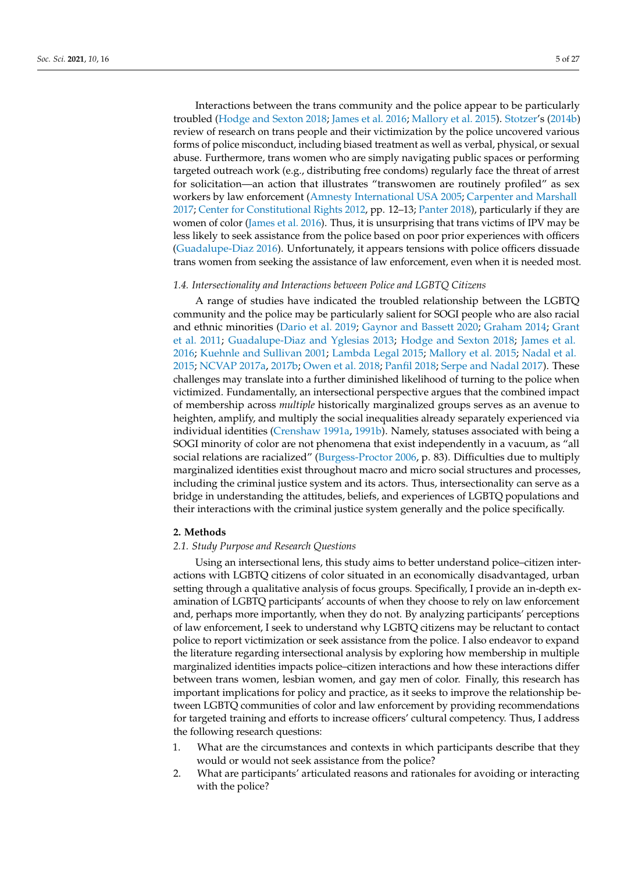Interactions between the trans community and the police appear to be particularly troubled [\(Hodge and Sexton](#page-24-1) [2018;](#page-24-1) [James et al.](#page-24-2) [2016;](#page-24-2) [Mallory et al.](#page-25-11) [2015\)](#page-25-11). [Stotzer'](#page-27-5)s [\(2014b\)](#page-27-5) review of research on trans people and their victimization by the police uncovered various forms of police misconduct, including biased treatment as well as verbal, physical, or sexual abuse. Furthermore, trans women who are simply navigating public spaces or performing targeted outreach work (e.g., distributing free condoms) regularly face the threat of arrest for solicitation—an action that illustrates "transwomen are routinely profiled" as sex workers by law enforcement [\(Amnesty International USA](#page-22-1) [2005;](#page-22-1) [Carpenter and Marshall](#page-23-13) [2017;](#page-23-13) [Center for Constitutional Rights](#page-23-14) [2012,](#page-23-14) pp. 12–13; [Panter](#page-26-11) [2018\)](#page-26-11), particularly if they are women of color [\(James et al.](#page-24-2) [2016\)](#page-24-2). Thus, it is unsurprising that trans victims of IPV may be less likely to seek assistance from the police based on poor prior experiences with officers [\(Guadalupe-Diaz](#page-24-3) [2016\)](#page-24-3). Unfortunately, it appears tensions with police officers dissuade trans women from seeking the assistance of law enforcement, even when it is needed most.

## *1.4. Intersectionality and Interactions between Police and LGBTQ Citizens*

A range of studies have indicated the troubled relationship between the LGBTQ community and the police may be particularly salient for SOGI people who are also racial and ethnic minorities [\(Dario et al.](#page-23-2) [2019;](#page-23-2) [Gaynor and Bassett](#page-24-7) [2020;](#page-24-7) [Graham](#page-24-18) [2014;](#page-24-18) [Grant](#page-24-4) [et al.](#page-24-4) [2011;](#page-24-4) [Guadalupe-Diaz and Yglesias](#page-24-13) [2013;](#page-24-13) [Hodge and Sexton](#page-24-1) [2018;](#page-24-1) [James et al.](#page-24-2) [2016;](#page-24-2) [Kuehnle and Sullivan](#page-25-7) [2001;](#page-25-7) [Lambda Legal](#page-25-10) [2015;](#page-25-10) [Mallory et al.](#page-25-11) [2015;](#page-25-11) [Nadal et al.](#page-26-2) [2015;](#page-26-2) [NCVAP](#page-26-4) [2017a,](#page-26-4) [2017b;](#page-26-5) [Owen et al.](#page-26-1) [2018;](#page-26-1) [Panfil](#page-26-13) [2018;](#page-26-13) [Serpe and Nadal](#page-26-6) [2017\)](#page-26-6). These challenges may translate into a further diminished likelihood of turning to the police when victimized. Fundamentally, an intersectional perspective argues that the combined impact of membership across *multiple* historically marginalized groups serves as an avenue to heighten, amplify, and multiply the social inequalities already separately experienced via individual identities [\(Crenshaw](#page-23-15) [1991a,](#page-23-15) [1991b\)](#page-23-16). Namely, statuses associated with being a SOGI minority of color are not phenomena that exist independently in a vacuum, as "all social relations are racialized" [\(Burgess-Proctor](#page-23-17) [2006,](#page-23-17) p. 83). Difficulties due to multiply marginalized identities exist throughout macro and micro social structures and processes, including the criminal justice system and its actors. Thus, intersectionality can serve as a bridge in understanding the attitudes, beliefs, and experiences of LGBTQ populations and their interactions with the criminal justice system generally and the police specifically.

## **2. Methods**

## *2.1. Study Purpose and Research Questions*

Using an intersectional lens, this study aims to better understand police–citizen interactions with LGBTQ citizens of color situated in an economically disadvantaged, urban setting through a qualitative analysis of focus groups. Specifically, I provide an in-depth examination of LGBTQ participants' accounts of when they choose to rely on law enforcement and, perhaps more importantly, when they do not. By analyzing participants' perceptions of law enforcement, I seek to understand why LGBTQ citizens may be reluctant to contact police to report victimization or seek assistance from the police. I also endeavor to expand the literature regarding intersectional analysis by exploring how membership in multiple marginalized identities impacts police–citizen interactions and how these interactions differ between trans women, lesbian women, and gay men of color. Finally, this research has important implications for policy and practice, as it seeks to improve the relationship between LGBTQ communities of color and law enforcement by providing recommendations for targeted training and efforts to increase officers' cultural competency. Thus, I address the following research questions:

- 1. What are the circumstances and contexts in which participants describe that they would or would not seek assistance from the police?
- 2. What are participants' articulated reasons and rationales for avoiding or interacting with the police?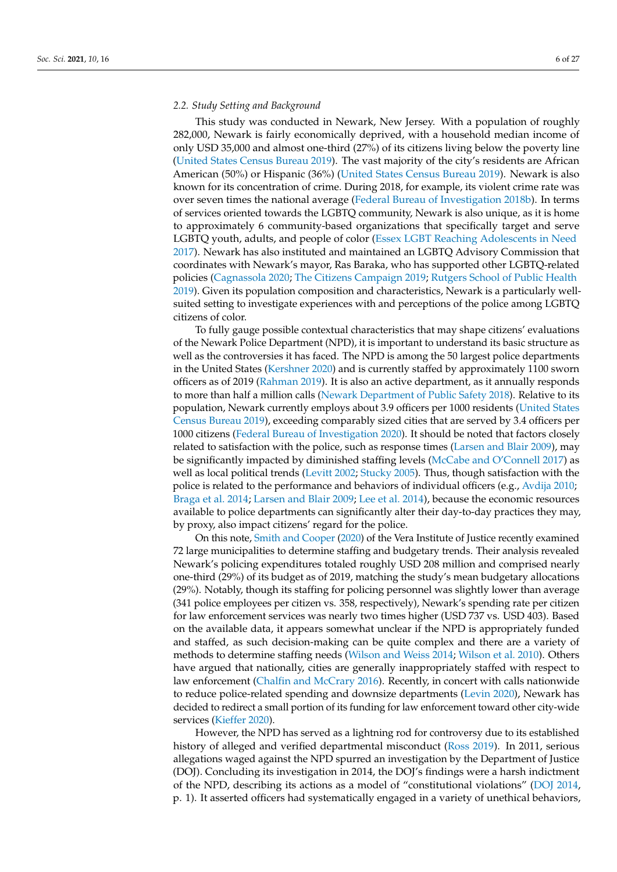## *2.2. Study Setting and Background*

This study was conducted in Newark, New Jersey. With a population of roughly 282,000, Newark is fairly economically deprived, with a household median income of only USD 35,000 and almost one-third (27%) of its citizens living below the poverty line [\(United States Census Bureau](#page-27-1) [2019\)](#page-27-1). The vast majority of the city's residents are African American (50%) or Hispanic (36%) [\(United States Census Bureau](#page-27-1) [2019\)](#page-27-1). Newark is also known for its concentration of crime. During 2018, for example, its violent crime rate was over seven times the national average [\(Federal Bureau of Investigation](#page-24-19) [2018b\)](#page-24-19). In terms of services oriented towards the LGBTQ community, Newark is also unique, as it is home to approximately 6 community-based organizations that specifically target and serve LGBTQ youth, adults, and people of color [\(Essex LGBT Reaching Adolescents in Need](#page-24-20) [2017\)](#page-24-20). Newark has also instituted and maintained an LGBTQ Advisory Commission that coordinates with Newark's mayor, Ras Baraka, who has supported other LGBTQ-related policies [\(Cagnassola](#page-23-18) [2020;](#page-23-18) [The Citizens Campaign](#page-27-12) [2019;](#page-27-12) [Rutgers School of Public Health](#page-26-14) [2019\)](#page-26-14). Given its population composition and characteristics, Newark is a particularly wellsuited setting to investigate experiences with and perceptions of the police among LGBTQ citizens of color.

To fully gauge possible contextual characteristics that may shape citizens' evaluations of the Newark Police Department (NPD), it is important to understand its basic structure as well as the controversies it has faced. The NPD is among the 50 largest police departments in the United States [\(Kershner](#page-24-21) [2020\)](#page-24-21) and is currently staffed by approximately 1100 sworn officers as of 2019 [\(Rahman](#page-26-15) [2019\)](#page-26-15). It is also an active department, as it annually responds to more than half a million calls [\(Newark Department of Public Safety](#page-26-16) [2018\)](#page-26-16). Relative to its population, Newark currently employs about 3.9 officers per 1000 residents [\(United States](#page-27-1) [Census Bureau](#page-27-1) [2019\)](#page-27-1), exceeding comparably sized cities that are served by 3.4 officers per 1000 citizens [\(Federal Bureau of Investigation](#page-24-22) [2020\)](#page-24-22). It should be noted that factors closely related to satisfaction with the police, such as response times [\(Larsen and Blair](#page-25-22) [2009\)](#page-25-22), may be significantly impacted by diminished staffing levels [\(McCabe and O'Connell](#page-25-23) [2017\)](#page-25-23) as well as local political trends [\(Levitt](#page-25-24) [2002;](#page-25-24) [Stucky](#page-27-13) [2005\)](#page-27-13). Thus, though satisfaction with the police is related to the performance and behaviors of individual officers (e.g., [Avdija](#page-22-6) [2010;](#page-22-6) [Braga et al.](#page-23-19) [2014;](#page-23-19) [Larsen and Blair](#page-25-22) [2009;](#page-25-22) [Lee et al.](#page-25-25) [2014\)](#page-25-25), because the economic resources available to police departments can significantly alter their day-to-day practices they may, by proxy, also impact citizens' regard for the police.

On this note, [Smith and Cooper](#page-27-14) [\(2020\)](#page-27-14) of the Vera Institute of Justice recently examined 72 large municipalities to determine staffing and budgetary trends. Their analysis revealed Newark's policing expenditures totaled roughly USD 208 million and comprised nearly one-third (29%) of its budget as of 2019, matching the study's mean budgetary allocations (29%). Notably, though its staffing for policing personnel was slightly lower than average (341 police employees per citizen vs. 358, respectively), Newark's spending rate per citizen for law enforcement services was nearly two times higher (USD 737 vs. USD 403). Based on the available data, it appears somewhat unclear if the NPD is appropriately funded and staffed, as such decision-making can be quite complex and there are a variety of methods to determine staffing needs [\(Wilson and Weiss](#page-27-15) [2014;](#page-27-15) [Wilson et al.](#page-27-16) [2010\)](#page-27-16). Others have argued that nationally, cities are generally inappropriately staffed with respect to law enforcement [\(Chalfin and McCrary](#page-23-20) [2016\)](#page-23-20). Recently, in concert with calls nationwide to reduce police-related spending and downsize departments [\(Levin](#page-25-26) [2020\)](#page-25-26), Newark has decided to redirect a small portion of its funding for law enforcement toward other city-wide services [\(Kieffer](#page-24-23) [2020\)](#page-24-23).

However, the NPD has served as a lightning rod for controversy due to its established history of alleged and verified departmental misconduct [\(Ross](#page-26-17) [2019\)](#page-26-17). In 2011, serious allegations waged against the NPD spurred an investigation by the Department of Justice (DOJ). Concluding its investigation in 2014, the DOJ's findings were a harsh indictment of the NPD, describing its actions as a model of "constitutional violations" [\(DOJ](#page-23-21) [2014,](#page-23-21) p. 1). It asserted officers had systematically engaged in a variety of unethical behaviors,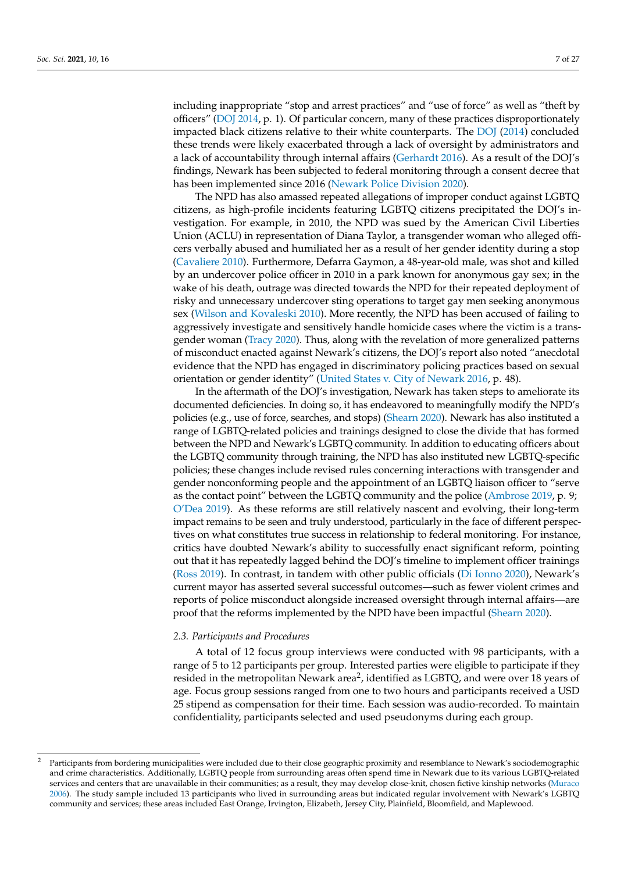including inappropriate "stop and arrest practices" and "use of force" as well as "theft by officers" [\(DOJ](#page-23-21) [2014,](#page-23-21) p. 1). Of particular concern, many of these practices disproportionately impacted black citizens relative to their white counterparts. The [DOJ](#page-23-21) [\(2014\)](#page-23-21) concluded these trends were likely exacerbated through a lack of oversight by administrators and a lack of accountability through internal affairs [\(Gerhardt](#page-24-24) [2016\)](#page-24-24). As a result of the DOJ's findings, Newark has been subjected to federal monitoring through a consent decree that has been implemented since 2016 [\(Newark Police Division](#page-26-18) [2020\)](#page-26-18).

The NPD has also amassed repeated allegations of improper conduct against LGBTQ citizens, as high-profile incidents featuring LGBTQ citizens precipitated the DOJ's investigation. For example, in 2010, the NPD was sued by the American Civil Liberties Union (ACLU) in representation of Diana Taylor, a transgender woman who alleged officers verbally abused and humiliated her as a result of her gender identity during a stop [\(Cavaliere](#page-23-22) [2010\)](#page-23-22). Furthermore, Defarra Gaymon, a 48-year-old male, was shot and killed by an undercover police officer in 2010 in a park known for anonymous gay sex; in the wake of his death, outrage was directed towards the NPD for their repeated deployment of risky and unnecessary undercover sting operations to target gay men seeking anonymous sex [\(Wilson and Kovaleski](#page-27-17) [2010\)](#page-27-17). More recently, the NPD has been accused of failing to aggressively investigate and sensitively handle homicide cases where the victim is a transgender woman [\(Tracy](#page-27-18) [2020\)](#page-27-18). Thus, along with the revelation of more generalized patterns of misconduct enacted against Newark's citizens, the DOJ's report also noted "anecdotal evidence that the NPD has engaged in discriminatory policing practices based on sexual orientation or gender identity" [\(United States v. City of Newark](#page-27-19) [2016,](#page-27-19) p. 48).

In the aftermath of the DOJ's investigation, Newark has taken steps to ameliorate its documented deficiencies. In doing so, it has endeavored to meaningfully modify the NPD's policies (e.g., use of force, searches, and stops) [\(Shearn](#page-27-20) [2020\)](#page-27-20). Newark has also instituted a range of LGBTQ-related policies and trainings designed to close the divide that has formed between the NPD and Newark's LGBTQ community. In addition to educating officers about the LGBTQ community through training, the NPD has also instituted new LGBTQ-specific policies; these changes include revised rules concerning interactions with transgender and gender nonconforming people and the appointment of an LGBTQ liaison officer to "serve as the contact point" between the LGBTQ community and the police [\(Ambrose](#page-22-7) [2019,](#page-22-7) p. 9; [O'Dea](#page-26-19) [2019\)](#page-26-19). As these reforms are still relatively nascent and evolving, their long-term impact remains to be seen and truly understood, particularly in the face of different perspectives on what constitutes true success in relationship to federal monitoring. For instance, critics have doubted Newark's ability to successfully enact significant reform, pointing out that it has repeatedly lagged behind the DOJ's timeline to implement officer trainings [\(Ross](#page-26-17) [2019\)](#page-26-17). In contrast, in tandem with other public officials [\(Di Ionno](#page-23-23) [2020\)](#page-23-23), Newark's current mayor has asserted several successful outcomes—such as fewer violent crimes and reports of police misconduct alongside increased oversight through internal affairs—are proof that the reforms implemented by the NPD have been impactful [\(Shearn](#page-27-20) [2020\)](#page-27-20).

### *2.3. Participants and Procedures*

A total of 12 focus group interviews were conducted with 98 participants, with a range of 5 to 12 participants per group. Interested parties were eligible to participate if they resided in the metropolitan Newark area<sup>2</sup>, identified as LGBTQ, and were over 18 years of age. Focus group sessions ranged from one to two hours and participants received a USD 25 stipend as compensation for their time. Each session was audio-recorded. To maintain confidentiality, participants selected and used pseudonyms during each group.

<sup>2</sup> Participants from bordering municipalities were included due to their close geographic proximity and resemblance to Newark's sociodemographic and crime characteristics. Additionally, LGBTQ people from surrounding areas often spend time in Newark due to its various LGBTQ-related services and centers that are unavailable in their communities; as a result, they may develop close-knit, chosen fictive kinship networks [\(Muraco](#page-25-27) [2006\)](#page-25-27). The study sample included 13 participants who lived in surrounding areas but indicated regular involvement with Newark's LGBTQ community and services; these areas included East Orange, Irvington, Elizabeth, Jersey City, Plainfield, Bloomfield, and Maplewood.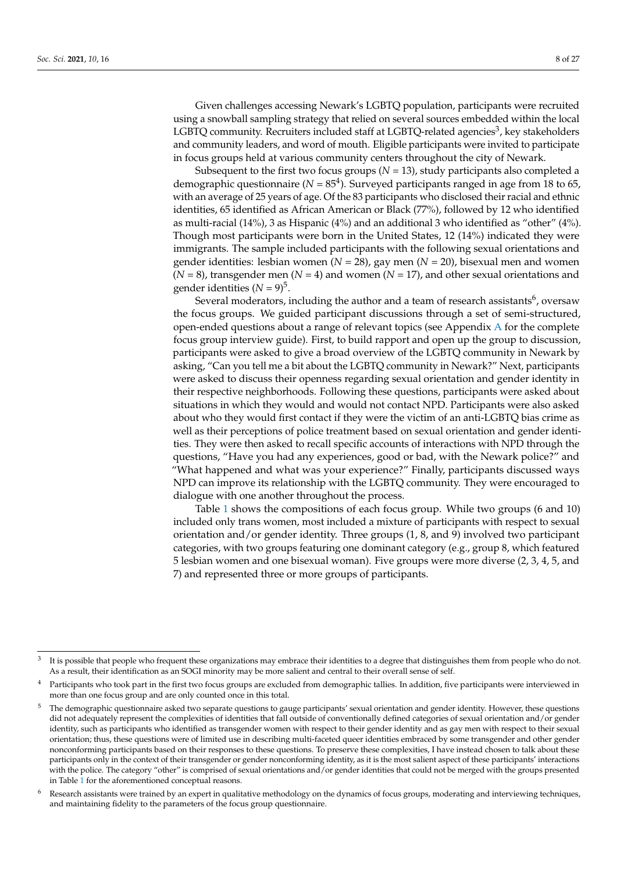Given challenges accessing Newark's LGBTQ population, participants were recruited using a snowball sampling strategy that relied on several sources embedded within the local LGBTQ community. Recruiters included staff at LGBTQ-related agencies<sup>3</sup>, key stakeholders and community leaders, and word of mouth. Eligible participants were invited to participate in focus groups held at various community centers throughout the city of Newark.

Subsequent to the first two focus groups  $(N = 13)$ , study participants also completed a demographic questionnaire ( $N = 85<sup>4</sup>$ ). Surveyed participants ranged in age from 18 to 65, with an average of 25 years of age. Of the 83 participants who disclosed their racial and ethnic identities, 65 identified as African American or Black (77%), followed by 12 who identified as multi-racial (14%), 3 as Hispanic (4%) and an additional 3 who identified as "other" (4%). Though most participants were born in the United States, 12 (14%) indicated they were immigrants. The sample included participants with the following sexual orientations and gender identities: lesbian women (*N* = 28), gay men (*N* = 20), bisexual men and women (*N* = 8), transgender men (*N* = 4) and women (*N* = 17), and other sexual orientations and gender identities  $(N = 9)^5$ .

Several moderators, including the author and a team of research assistants $^6$ , oversaw the focus groups. We guided participant discussions through a set of semi-structured, open-ended questions about a range of relevant topics (see Appendix [A](#page-22-8) for the complete focus group interview guide). First, to build rapport and open up the group to discussion, participants were asked to give a broad overview of the LGBTQ community in Newark by asking, "Can you tell me a bit about the LGBTQ community in Newark?" Next, participants were asked to discuss their openness regarding sexual orientation and gender identity in their respective neighborhoods. Following these questions, participants were asked about situations in which they would and would not contact NPD. Participants were also asked about who they would first contact if they were the victim of an anti-LGBTQ bias crime as well as their perceptions of police treatment based on sexual orientation and gender identities. They were then asked to recall specific accounts of interactions with NPD through the questions, "Have you had any experiences, good or bad, with the Newark police?" and "What happened and what was your experience?" Finally, participants discussed ways NPD can improve its relationship with the LGBTQ community. They were encouraged to dialogue with one another throughout the process.

Table [1](#page-9-0) shows the compositions of each focus group. While two groups (6 and 10) included only trans women, most included a mixture of participants with respect to sexual orientation and/or gender identity. Three groups (1, 8, and 9) involved two participant categories, with two groups featuring one dominant category (e.g., group 8, which featured 5 lesbian women and one bisexual woman). Five groups were more diverse (2, 3, 4, 5, and 7) and represented three or more groups of participants.

<sup>3</sup> It is possible that people who frequent these organizations may embrace their identities to a degree that distinguishes them from people who do not. As a result, their identification as an SOGI minority may be more salient and central to their overall sense of self.

Participants who took part in the first two focus groups are excluded from demographic tallies. In addition, five participants were interviewed in more than one focus group and are only counted once in this total.

<sup>5</sup> The demographic questionnaire asked two separate questions to gauge participants' sexual orientation and gender identity. However, these questions did not adequately represent the complexities of identities that fall outside of conventionally defined categories of sexual orientation and/or gender identity, such as participants who identified as transgender women with respect to their gender identity and as gay men with respect to their sexual orientation; thus, these questions were of limited use in describing multi-faceted queer identities embraced by some transgender and other gender nonconforming participants based on their responses to these questions. To preserve these complexities, I have instead chosen to talk about these participants only in the context of their transgender or gender nonconforming identity, as it is the most salient aspect of these participants' interactions with the police. The category "other" is comprised of sexual orientations and/or gender identities that could not be merged with the groups presented in Table [1](#page-9-0) for the aforementioned conceptual reasons.

<sup>&</sup>lt;sup>6</sup> Research assistants were trained by an expert in qualitative methodology on the dynamics of focus groups, moderating and interviewing techniques, and maintaining fidelity to the parameters of the focus group questionnaire.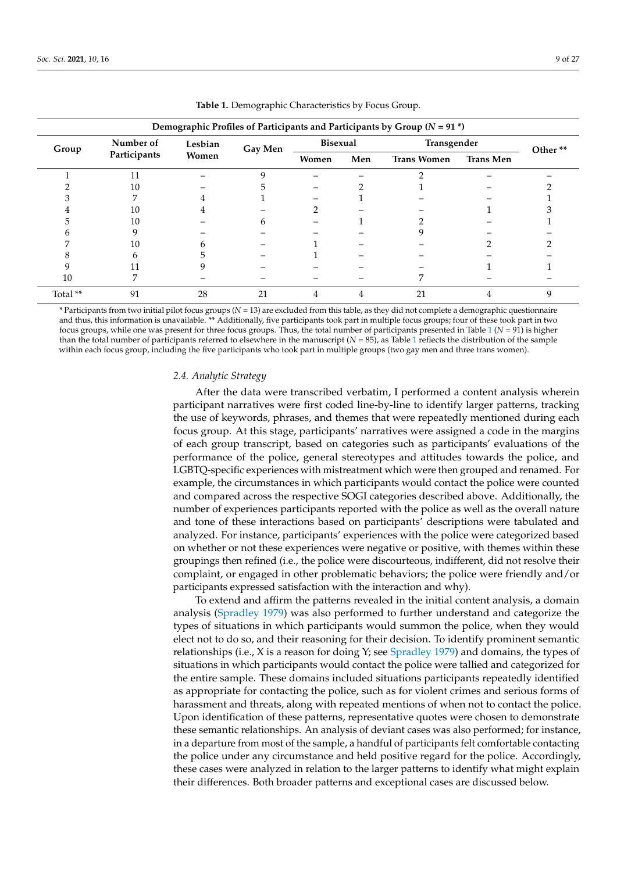<span id="page-9-0"></span>

| Demographic Profiles of Participants and Participants by Group ( $N = 91$ <sup>*</sup> ) |                           |                  |         |                 |     |                    |                  |         |
|------------------------------------------------------------------------------------------|---------------------------|------------------|---------|-----------------|-----|--------------------|------------------|---------|
| Group                                                                                    | Number of<br>Participants | Lesbian<br>Women | Gay Men | <b>Bisexual</b> |     | Transgender        |                  | Other** |
|                                                                                          |                           |                  |         | Women           | Men | <b>Trans Women</b> | <b>Trans Men</b> |         |
|                                                                                          | 11                        |                  |         |                 |     |                    |                  |         |
|                                                                                          | 10                        |                  |         |                 |     |                    |                  |         |
|                                                                                          |                           |                  |         |                 |     |                    |                  |         |
|                                                                                          | 10                        |                  |         |                 |     |                    |                  |         |
|                                                                                          | 10                        |                  | h       |                 |     |                    |                  |         |
|                                                                                          |                           |                  |         |                 |     |                    |                  |         |
|                                                                                          | 10                        |                  |         |                 |     |                    |                  |         |
|                                                                                          | n                         |                  |         |                 |     |                    |                  |         |
|                                                                                          |                           |                  |         |                 |     |                    |                  |         |
| 10                                                                                       |                           |                  |         |                 |     |                    |                  |         |
| Total **                                                                                 | 91                        | 28               | 21      | 4               | 4   | 21                 | 4                | q       |

**Table 1.** Demographic Characteristics by Focus Group.

\* Participants from two initial pilot focus groups (*N* = 13) are excluded from this table, as they did not complete a demographic questionnaire and thus, this information is unavailable. \*\* Additionally, five participants took part in multiple focus groups; four of these took part in two focus groups, while one was present for three focus groups. Thus, the total number of participants presented in Table  $1 (N = 91)$  $1 (N = 91)$  is higher than the total number of participants referred to elsewhere in the manuscript (*N* = 85), as Table [1](#page-9-0) reflects the distribution of the sample within each focus group, including the five participants who took part in multiple groups (two gay men and three trans women).

### *2.4. Analytic Strategy*

After the data were transcribed verbatim, I performed a content analysis wherein participant narratives were first coded line-by-line to identify larger patterns, tracking the use of keywords, phrases, and themes that were repeatedly mentioned during each focus group. At this stage, participants' narratives were assigned a code in the margins of each group transcript, based on categories such as participants' evaluations of the performance of the police, general stereotypes and attitudes towards the police, and LGBTQ-specific experiences with mistreatment which were then grouped and renamed. For example, the circumstances in which participants would contact the police were counted and compared across the respective SOGI categories described above. Additionally, the number of experiences participants reported with the police as well as the overall nature and tone of these interactions based on participants' descriptions were tabulated and analyzed. For instance, participants' experiences with the police were categorized based on whether or not these experiences were negative or positive, with themes within these groupings then refined (i.e., the police were discourteous, indifferent, did not resolve their complaint, or engaged in other problematic behaviors; the police were friendly and/or participants expressed satisfaction with the interaction and why).

To extend and affirm the patterns revealed in the initial content analysis, a domain analysis [\(Spradley](#page-27-21) [1979\)](#page-27-21) was also performed to further understand and categorize the types of situations in which participants would summon the police, when they would elect not to do so, and their reasoning for their decision. To identify prominent semantic relationships (i.e.,  $X$  is a reason for doing  $Y_i$ ; see [Spradley](#page-27-21) [1979\)](#page-27-21) and domains, the types of situations in which participants would contact the police were tallied and categorized for the entire sample. These domains included situations participants repeatedly identified as appropriate for contacting the police, such as for violent crimes and serious forms of harassment and threats, along with repeated mentions of when not to contact the police. Upon identification of these patterns, representative quotes were chosen to demonstrate these semantic relationships. An analysis of deviant cases was also performed; for instance, in a departure from most of the sample, a handful of participants felt comfortable contacting the police under any circumstance and held positive regard for the police. Accordingly, these cases were analyzed in relation to the larger patterns to identify what might explain their differences. Both broader patterns and exceptional cases are discussed below.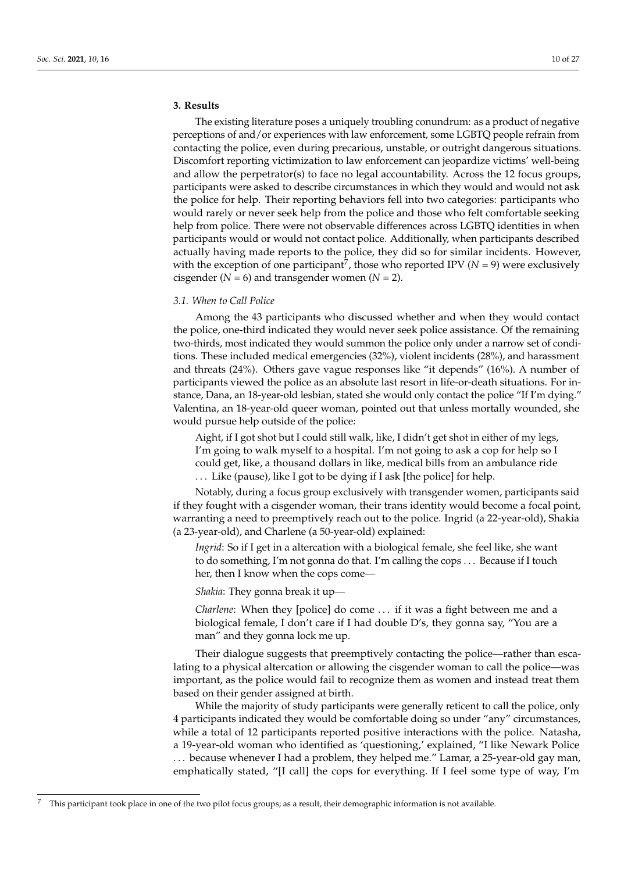## **3. Results**

The existing literature poses a uniquely troubling conundrum: as a product of negative perceptions of and/or experiences with law enforcement, some LGBTQ people refrain from contacting the police, even during precarious, unstable, or outright dangerous situations. Discomfort reporting victimization to law enforcement can jeopardize victims' well-being and allow the perpetrator(s) to face no legal accountability. Across the 12 focus groups, participants were asked to describe circumstances in which they would and would not ask the police for help. Their reporting behaviors fell into two categories: participants who would rarely or never seek help from the police and those who felt comfortable seeking help from police. There were not observable differences across LGBTQ identities in when participants would or would not contact police. Additionally, when participants described actually having made reports to the police, they did so for similar incidents. However, with the exception of one participant<sup>7</sup>, those who reported IPV ( $N = 9$ ) were exclusively cisgender  $(N = 6)$  and transgender women  $(N = 2)$ .

## *3.1. When to Call Police*

Among the 43 participants who discussed whether and when they would contact the police, one-third indicated they would never seek police assistance. Of the remaining two-thirds, most indicated they would summon the police only under a narrow set of conditions. These included medical emergencies (32%), violent incidents (28%), and harassment and threats (24%). Others gave vague responses like "it depends" (16%). A number of participants viewed the police as an absolute last resort in life-or-death situations. For instance, Dana, an 18-year-old lesbian, stated she would only contact the police "If I'm dying." Valentina, an 18-year-old queer woman, pointed out that unless mortally wounded, she would pursue help outside of the police:

Aight, if I got shot but I could still walk, like, I didn't get shot in either of my legs, I'm going to walk myself to a hospital. I'm not going to ask a cop for help so I could get, like, a thousand dollars in like, medical bills from an ambulance ride . . . Like (pause), like I got to be dying if I ask [the police] for help.

Notably, during a focus group exclusively with transgender women, participants said if they fought with a cisgender woman, their trans identity would become a focal point, warranting a need to preemptively reach out to the police. Ingrid (a 22-year-old), Shakia (a 23-year-old), and Charlene (a 50-year-old) explained:

*Ingrid*: So if I get in a altercation with a biological female, she feel like, she want to do something, I'm not gonna do that. I'm calling the cops . . . Because if I touch her, then I know when the cops come—

*Shakia*: They gonna break it up—

*Charlene*: When they [police] do come . . . if it was a fight between me and a biological female, I don't care if I had double D's, they gonna say, "You are a man" and they gonna lock me up.

Their dialogue suggests that preemptively contacting the police—rather than escalating to a physical altercation or allowing the cisgender woman to call the police—was important, as the police would fail to recognize them as women and instead treat them based on their gender assigned at birth.

While the majority of study participants were generally reticent to call the police, only 4 participants indicated they would be comfortable doing so under "any" circumstances, while a total of 12 participants reported positive interactions with the police. Natasha, a 19-year-old woman who identified as 'questioning,' explained, "I like Newark Police . . . because whenever I had a problem, they helped me." Lamar, a 25-year-old gay man, emphatically stated, "[I call] the cops for everything. If I feel some type of way, I'm

<sup>7</sup> This participant took place in one of the two pilot focus groups; as a result, their demographic information is not available.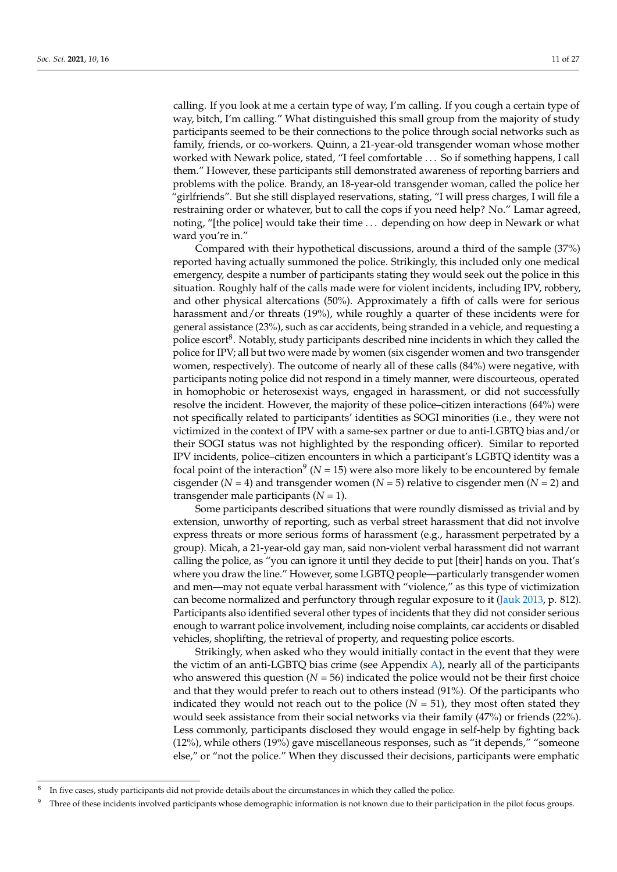calling. If you look at me a certain type of way, I'm calling. If you cough a certain type of way, bitch, I'm calling." What distinguished this small group from the majority of study participants seemed to be their connections to the police through social networks such as family, friends, or co-workers. Quinn, a 21-year-old transgender woman whose mother worked with Newark police, stated, "I feel comfortable . . . So if something happens, I call them." However, these participants still demonstrated awareness of reporting barriers and problems with the police. Brandy, an 18-year-old transgender woman, called the police her "girlfriends". But she still displayed reservations, stating, "I will press charges, I will file a restraining order or whatever, but to call the cops if you need help? No." Lamar agreed, noting, "[the police] would take their time . . . depending on how deep in Newark or what ward you're in."

Compared with their hypothetical discussions, around a third of the sample (37%) reported having actually summoned the police. Strikingly, this included only one medical emergency, despite a number of participants stating they would seek out the police in this situation. Roughly half of the calls made were for violent incidents, including IPV, robbery, and other physical altercations (50%). Approximately a fifth of calls were for serious harassment and/or threats (19%), while roughly a quarter of these incidents were for general assistance (23%), such as car accidents, being stranded in a vehicle, and requesting a police escort<sup>8</sup>. Notably, study participants described nine incidents in which they called the police for IPV; all but two were made by women (six cisgender women and two transgender women, respectively). The outcome of nearly all of these calls (84%) were negative, with participants noting police did not respond in a timely manner, were discourteous, operated in homophobic or heterosexist ways, engaged in harassment, or did not successfully resolve the incident. However, the majority of these police–citizen interactions (64%) were not specifically related to participants' identities as SOGI minorities (i.e., they were not victimized in the context of IPV with a same-sex partner or due to anti-LGBTQ bias and/or their SOGI status was not highlighted by the responding officer). Similar to reported IPV incidents, police–citizen encounters in which a participant's LGBTQ identity was a focal point of the interaction<sup>9</sup> ( $N = 15$ ) were also more likely to be encountered by female cisgender ( $N = 4$ ) and transgender women ( $N = 5$ ) relative to cisgender men ( $N = 2$ ) and transgender male participants  $(N = 1)$ .

Some participants described situations that were roundly dismissed as trivial and by extension, unworthy of reporting, such as verbal street harassment that did not involve express threats or more serious forms of harassment (e.g., harassment perpetrated by a group). Micah, a 21-year-old gay man, said non-violent verbal harassment did not warrant calling the police, as "you can ignore it until they decide to put [their] hands on you. That's where you draw the line." However, some LGBTQ people—particularly transgender women and men—may not equate verbal harassment with "violence," as this type of victimization can become normalized and perfunctory through regular exposure to it [\(Jauk](#page-24-25) [2013,](#page-24-25) p. 812). Participants also identified several other types of incidents that they did not consider serious enough to warrant police involvement, including noise complaints, car accidents or disabled vehicles, shoplifting, the retrieval of property, and requesting police escorts.

Strikingly, when asked who they would initially contact in the event that they were the victim of an anti-LGBTQ bias crime (see Appendix  $A$ ), nearly all of the participants who answered this question  $(N = 56)$  indicated the police would not be their first choice and that they would prefer to reach out to others instead (91%). Of the participants who indicated they would not reach out to the police  $(N = 51)$ , they most often stated they would seek assistance from their social networks via their family (47%) or friends (22%). Less commonly, participants disclosed they would engage in self-help by fighting back (12%), while others (19%) gave miscellaneous responses, such as "it depends," "someone else," or "not the police." When they discussed their decisions, participants were emphatic

<sup>8</sup> In five cases, study participants did not provide details about the circumstances in which they called the police.

Three of these incidents involved participants whose demographic information is not known due to their participation in the pilot focus groups.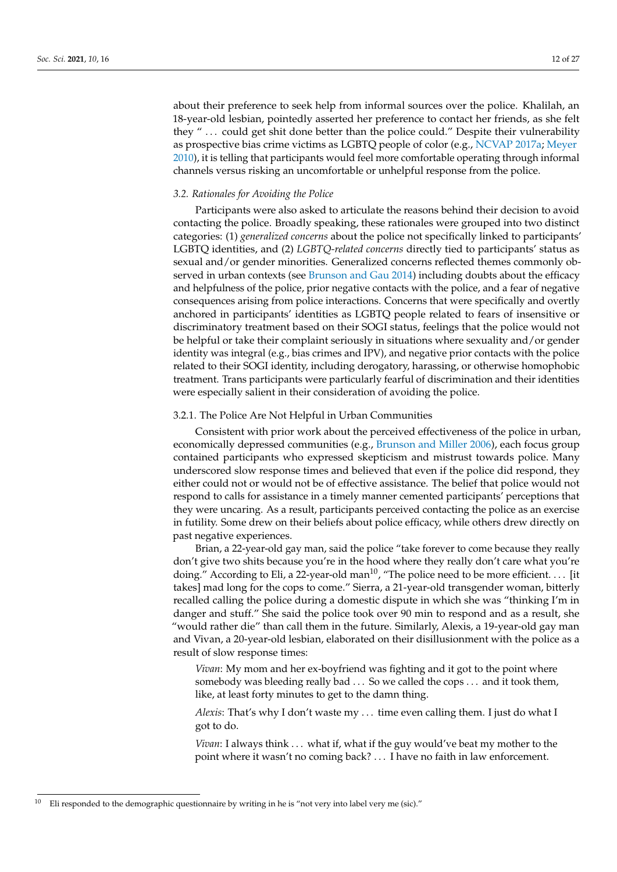about their preference to seek help from informal sources over the police. Khalilah, an 18-year-old lesbian, pointedly asserted her preference to contact her friends, as she felt they " . . . could get shit done better than the police could." Despite their vulnerability as prospective bias crime victims as LGBTQ people of color (e.g., [NCVAP](#page-26-4) [2017a;](#page-26-4) [Meyer](#page-25-8) [2010\)](#page-25-8), it is telling that participants would feel more comfortable operating through informal channels versus risking an uncomfortable or unhelpful response from the police.

## *3.2. Rationales for Avoiding the Police*

Participants were also asked to articulate the reasons behind their decision to avoid contacting the police. Broadly speaking, these rationales were grouped into two distinct categories: (1) *generalized concerns* about the police not specifically linked to participants' LGBTQ identities, and (2) *LGBTQ-related concerns* directly tied to participants' status as sexual and/or gender minorities. Generalized concerns reflected themes commonly observed in urban contexts (see [Brunson and Gau](#page-23-24) [2014\)](#page-23-24) including doubts about the efficacy and helpfulness of the police, prior negative contacts with the police, and a fear of negative consequences arising from police interactions. Concerns that were specifically and overtly anchored in participants' identities as LGBTQ people related to fears of insensitive or discriminatory treatment based on their SOGI status, feelings that the police would not be helpful or take their complaint seriously in situations where sexuality and/or gender identity was integral (e.g., bias crimes and IPV), and negative prior contacts with the police related to their SOGI identity, including derogatory, harassing, or otherwise homophobic treatment. Trans participants were particularly fearful of discrimination and their identities were especially salient in their consideration of avoiding the police.

## 3.2.1. The Police Are Not Helpful in Urban Communities

Consistent with prior work about the perceived effectiveness of the police in urban, economically depressed communities (e.g., [Brunson and Miller](#page-23-25) [2006\)](#page-23-25), each focus group contained participants who expressed skepticism and mistrust towards police. Many underscored slow response times and believed that even if the police did respond, they either could not or would not be of effective assistance. The belief that police would not respond to calls for assistance in a timely manner cemented participants' perceptions that they were uncaring. As a result, participants perceived contacting the police as an exercise in futility. Some drew on their beliefs about police efficacy, while others drew directly on past negative experiences.

Brian, a 22-year-old gay man, said the police "take forever to come because they really don't give two shits because you're in the hood where they really don't care what you're doing." According to Eli, a 22-year-old man<sup>10</sup>, "The police need to be more efficient.... [it takes] mad long for the cops to come." Sierra, a 21-year-old transgender woman, bitterly recalled calling the police during a domestic dispute in which she was "thinking I'm in danger and stuff." She said the police took over 90 min to respond and as a result, she "would rather die" than call them in the future. Similarly, Alexis, a 19-year-old gay man and Vivan, a 20-year-old lesbian, elaborated on their disillusionment with the police as a result of slow response times:

*Vivan*: My mom and her ex-boyfriend was fighting and it got to the point where somebody was bleeding really bad . . . So we called the cops . . . and it took them, like, at least forty minutes to get to the damn thing.

*Alexis*: That's why I don't waste my . . . time even calling them. I just do what I got to do.

*Vivan*: I always think . . . what if, what if the guy would've beat my mother to the point where it wasn't no coming back? . . . I have no faith in law enforcement.

Eli responded to the demographic questionnaire by writing in he is "not very into label very me (sic)."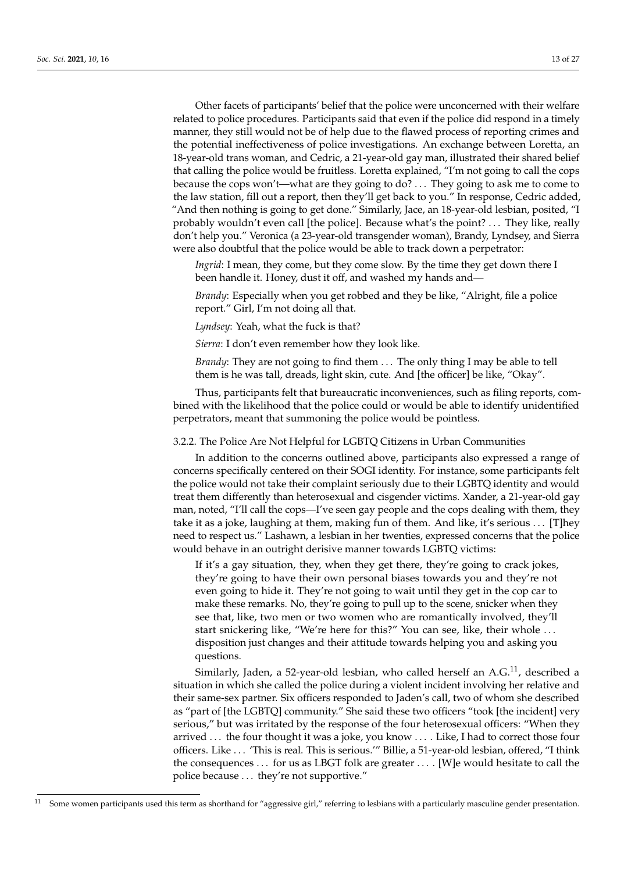Other facets of participants' belief that the police were unconcerned with their welfare related to police procedures. Participants said that even if the police did respond in a timely manner, they still would not be of help due to the flawed process of reporting crimes and the potential ineffectiveness of police investigations. An exchange between Loretta, an 18-year-old trans woman, and Cedric, a 21-year-old gay man, illustrated their shared belief that calling the police would be fruitless. Loretta explained, "I'm not going to call the cops because the cops won't—what are they going to do? . . . They going to ask me to come to the law station, fill out a report, then they'll get back to you." In response, Cedric added, "And then nothing is going to get done." Similarly, Jace, an 18-year-old lesbian, posited, "I probably wouldn't even call [the police]. Because what's the point? . . . They like, really don't help you." Veronica (a 23-year-old transgender woman), Brandy, Lyndsey, and Sierra were also doubtful that the police would be able to track down a perpetrator:

*Ingrid*: I mean, they come, but they come slow. By the time they get down there I been handle it. Honey, dust it off, and washed my hands and—

*Brandy*: Especially when you get robbed and they be like, "Alright, file a police report." Girl, I'm not doing all that.

*Lyndsey*: Yeah, what the fuck is that?

*Sierra*: I don't even remember how they look like.

*Brandy*: They are not going to find them . . . The only thing I may be able to tell them is he was tall, dreads, light skin, cute. And [the officer] be like, "Okay".

Thus, participants felt that bureaucratic inconveniences, such as filing reports, combined with the likelihood that the police could or would be able to identify unidentified perpetrators, meant that summoning the police would be pointless.

## 3.2.2. The Police Are Not Helpful for LGBTQ Citizens in Urban Communities

In addition to the concerns outlined above, participants also expressed a range of concerns specifically centered on their SOGI identity. For instance, some participants felt the police would not take their complaint seriously due to their LGBTQ identity and would treat them differently than heterosexual and cisgender victims. Xander, a 21-year-old gay man, noted, "I'll call the cops—I've seen gay people and the cops dealing with them, they take it as a joke, laughing at them, making fun of them. And like, it's serious . . . [T]hey need to respect us." Lashawn, a lesbian in her twenties, expressed concerns that the police would behave in an outright derisive manner towards LGBTQ victims:

If it's a gay situation, they, when they get there, they're going to crack jokes, they're going to have their own personal biases towards you and they're not even going to hide it. They're not going to wait until they get in the cop car to make these remarks. No, they're going to pull up to the scene, snicker when they see that, like, two men or two women who are romantically involved, they'll start snickering like, "We're here for this?" You can see, like, their whole . . . disposition just changes and their attitude towards helping you and asking you questions.

Similarly, Jaden, a 52-year-old lesbian, who called herself an  $A.G.<sup>11</sup>$ , described a situation in which she called the police during a violent incident involving her relative and their same-sex partner. Six officers responded to Jaden's call, two of whom she described as "part of [the LGBTQ] community." She said these two officers "took [the incident] very serious," but was irritated by the response of the four heterosexual officers: "When they arrived . . . the four thought it was a joke, you know . . . . Like, I had to correct those four officers. Like . . . 'This is real. This is serious.'" Billie, a 51-year-old lesbian, offered, "I think the consequences . . . for us as LBGT folk are greater . . . . [W]e would hesitate to call the police because . . . they're not supportive."

Some women participants used this term as shorthand for "aggressive girl," referring to lesbians with a particularly masculine gender presentation.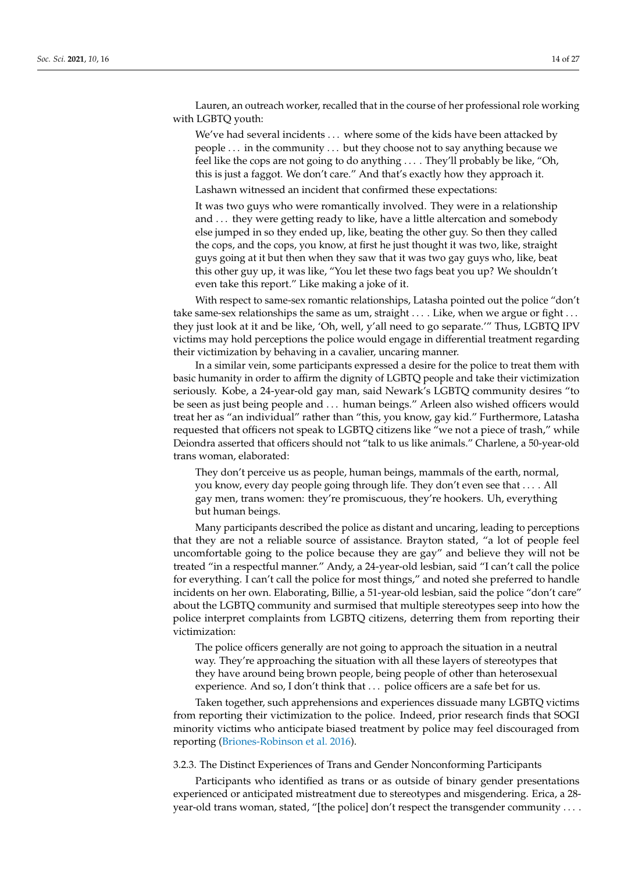Lauren, an outreach worker, recalled that in the course of her professional role working with LGBTQ youth:

We've had several incidents . . . where some of the kids have been attacked by people . . . in the community . . . but they choose not to say anything because we feel like the cops are not going to do anything . . . . They'll probably be like, "Oh, this is just a faggot. We don't care." And that's exactly how they approach it.

Lashawn witnessed an incident that confirmed these expectations:

It was two guys who were romantically involved. They were in a relationship and ... they were getting ready to like, have a little altercation and somebody else jumped in so they ended up, like, beating the other guy. So then they called the cops, and the cops, you know, at first he just thought it was two, like, straight guys going at it but then when they saw that it was two gay guys who, like, beat this other guy up, it was like, "You let these two fags beat you up? We shouldn't even take this report." Like making a joke of it.

With respect to same-sex romantic relationships, Latasha pointed out the police "don't take same-sex relationships the same as um, straight . . . . Like, when we argue or fight . . . they just look at it and be like, 'Oh, well, y'all need to go separate.'" Thus, LGBTQ IPV victims may hold perceptions the police would engage in differential treatment regarding their victimization by behaving in a cavalier, uncaring manner.

In a similar vein, some participants expressed a desire for the police to treat them with basic humanity in order to affirm the dignity of LGBTQ people and take their victimization seriously. Kobe, a 24-year-old gay man, said Newark's LGBTQ community desires "to be seen as just being people and . . . human beings." Arleen also wished officers would treat her as "an individual" rather than "this, you know, gay kid." Furthermore, Latasha requested that officers not speak to LGBTQ citizens like "we not a piece of trash," while Deiondra asserted that officers should not "talk to us like animals." Charlene, a 50-year-old trans woman, elaborated:

They don't perceive us as people, human beings, mammals of the earth, normal, you know, every day people going through life. They don't even see that . . . . All gay men, trans women: they're promiscuous, they're hookers. Uh, everything but human beings.

Many participants described the police as distant and uncaring, leading to perceptions that they are not a reliable source of assistance. Brayton stated, "a lot of people feel uncomfortable going to the police because they are gay" and believe they will not be treated "in a respectful manner." Andy, a 24-year-old lesbian, said "I can't call the police for everything. I can't call the police for most things," and noted she preferred to handle incidents on her own. Elaborating, Billie, a 51-year-old lesbian, said the police "don't care" about the LGBTQ community and surmised that multiple stereotypes seep into how the police interpret complaints from LGBTQ citizens, deterring them from reporting their victimization:

The police officers generally are not going to approach the situation in a neutral way. They're approaching the situation with all these layers of stereotypes that they have around being brown people, being people of other than heterosexual experience. And so, I don't think that ... police officers are a safe bet for us.

Taken together, such apprehensions and experiences dissuade many LGBTQ victims from reporting their victimization to the police. Indeed, prior research finds that SOGI minority victims who anticipate biased treatment by police may feel discouraged from reporting [\(Briones-Robinson et al.](#page-23-6) [2016\)](#page-23-6).

3.2.3. The Distinct Experiences of Trans and Gender Nonconforming Participants

Participants who identified as trans or as outside of binary gender presentations experienced or anticipated mistreatment due to stereotypes and misgendering. Erica, a 28 year-old trans woman, stated, "[the police] don't respect the transgender community . . . .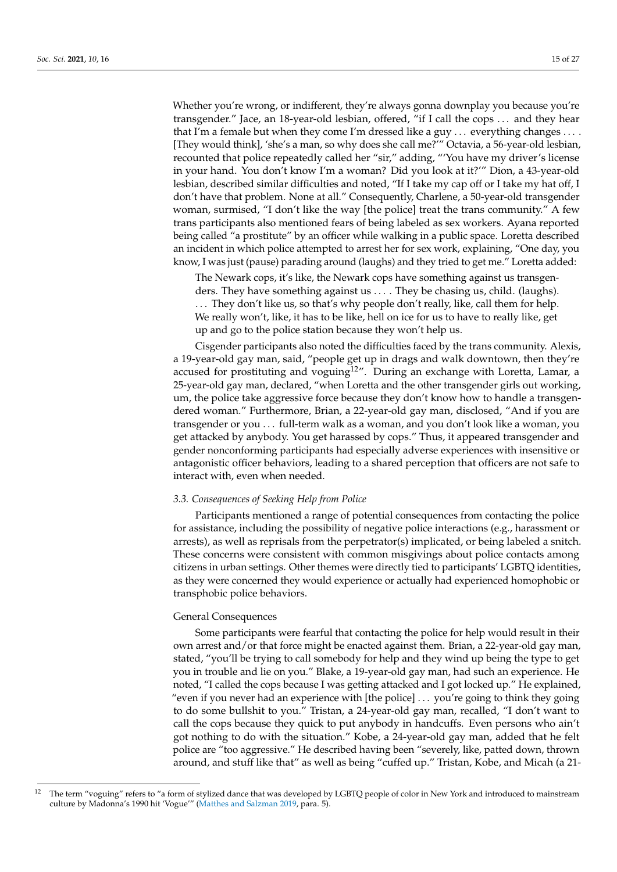Whether you're wrong, or indifferent, they're always gonna downplay you because you're transgender." Jace, an 18-year-old lesbian, offered, "if I call the cops . . . and they hear that I'm a female but when they come I'm dressed like a guy  $\ldots$  everything changes  $\ldots$ . [They would think], 'she's a man, so why does she call me?'" Octavia, a 56-year-old lesbian, recounted that police repeatedly called her "sir," adding, "'You have my driver's license in your hand. You don't know I'm a woman? Did you look at it?'" Dion, a 43-year-old lesbian, described similar difficulties and noted, "If I take my cap off or I take my hat off, I don't have that problem. None at all." Consequently, Charlene, a 50-year-old transgender woman, surmised, "I don't like the way [the police] treat the trans community." A few trans participants also mentioned fears of being labeled as sex workers. Ayana reported being called "a prostitute" by an officer while walking in a public space. Loretta described an incident in which police attempted to arrest her for sex work, explaining, "One day, you know, I was just (pause) parading around (laughs) and they tried to get me." Loretta added:

The Newark cops, it's like, the Newark cops have something against us transgenders. They have something against us ... . They be chasing us, child. (laughs). . . . They don't like us, so that's why people don't really, like, call them for help. We really won't, like, it has to be like, hell on ice for us to have to really like, get up and go to the police station because they won't help us.

Cisgender participants also noted the difficulties faced by the trans community. Alexis, a 19-year-old gay man, said, "people get up in drags and walk downtown, then they're accused for prostituting and voguing<sup>12"</sup>. During an exchange with Loretta, Lamar, a 25-year-old gay man, declared, "when Loretta and the other transgender girls out working, um, the police take aggressive force because they don't know how to handle a transgendered woman." Furthermore, Brian, a 22-year-old gay man, disclosed, "And if you are transgender or you . . . full-term walk as a woman, and you don't look like a woman, you get attacked by anybody. You get harassed by cops." Thus, it appeared transgender and gender nonconforming participants had especially adverse experiences with insensitive or antagonistic officer behaviors, leading to a shared perception that officers are not safe to interact with, even when needed.

## *3.3. Consequences of Seeking Help from Police*

Participants mentioned a range of potential consequences from contacting the police for assistance, including the possibility of negative police interactions (e.g., harassment or arrests), as well as reprisals from the perpetrator(s) implicated, or being labeled a snitch. These concerns were consistent with common misgivings about police contacts among citizens in urban settings. Other themes were directly tied to participants' LGBTQ identities, as they were concerned they would experience or actually had experienced homophobic or transphobic police behaviors.

## General Consequences

Some participants were fearful that contacting the police for help would result in their own arrest and/or that force might be enacted against them. Brian, a 22-year-old gay man, stated, "you'll be trying to call somebody for help and they wind up being the type to get you in trouble and lie on you." Blake, a 19-year-old gay man, had such an experience. He noted, "I called the cops because I was getting attacked and I got locked up." He explained, "even if you never had an experience with [the police] . . . you're going to think they going to do some bullshit to you." Tristan, a 24-year-old gay man, recalled, "I don't want to call the cops because they quick to put anybody in handcuffs. Even persons who ain't got nothing to do with the situation." Kobe, a 24-year-old gay man, added that he felt police are "too aggressive." He described having been "severely, like, patted down, thrown around, and stuff like that" as well as being "cuffed up." Tristan, Kobe, and Micah (a 21-

<sup>&</sup>lt;sup>12</sup> The term "voguing" refers to "a form of stylized dance that was developed by LGBTQ people of color in New York and introduced to mainstream culture by Madonna's 1990 hit 'Vogue'" [\(Matthes and Salzman](#page-25-28) [2019,](#page-25-28) para. 5).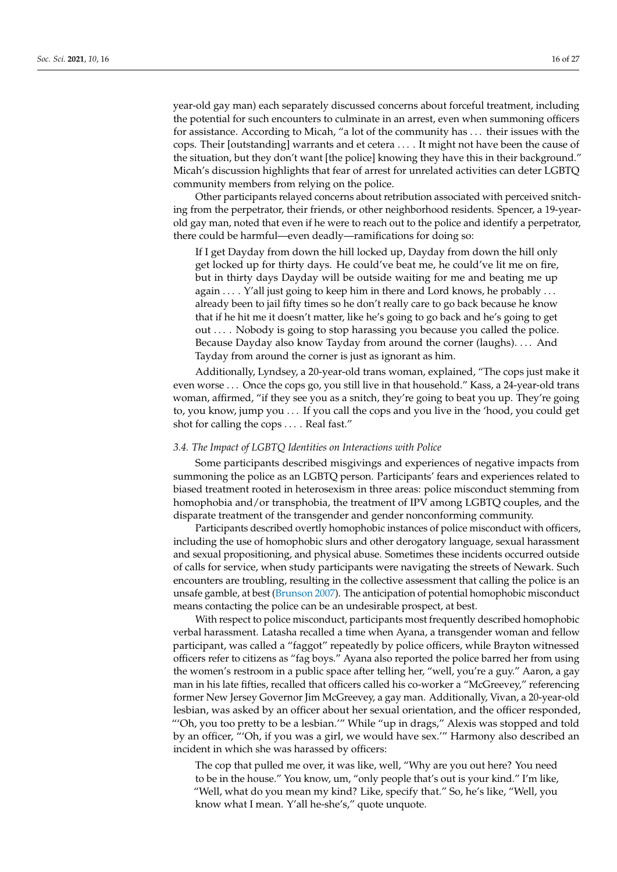year-old gay man) each separately discussed concerns about forceful treatment, including the potential for such encounters to culminate in an arrest, even when summoning officers for assistance. According to Micah, "a lot of the community has . . . their issues with the cops. Their [outstanding] warrants and et cetera . . . . It might not have been the cause of the situation, but they don't want [the police] knowing they have this in their background." Micah's discussion highlights that fear of arrest for unrelated activities can deter LGBTQ community members from relying on the police.

Other participants relayed concerns about retribution associated with perceived snitching from the perpetrator, their friends, or other neighborhood residents. Spencer, a 19-yearold gay man, noted that even if he were to reach out to the police and identify a perpetrator, there could be harmful—even deadly—ramifications for doing so:

If I get Dayday from down the hill locked up, Dayday from down the hill only get locked up for thirty days. He could've beat me, he could've lit me on fire, but in thirty days Dayday will be outside waiting for me and beating me up again . . . . Y'all just going to keep him in there and Lord knows, he probably . . . already been to jail fifty times so he don't really care to go back because he know that if he hit me it doesn't matter, like he's going to go back and he's going to get out . . . . Nobody is going to stop harassing you because you called the police. Because Dayday also know Tayday from around the corner (laughs). . . . And Tayday from around the corner is just as ignorant as him.

Additionally, Lyndsey, a 20-year-old trans woman, explained, "The cops just make it even worse . . . Once the cops go, you still live in that household." Kass, a 24-year-old trans woman, affirmed, "if they see you as a snitch, they're going to beat you up. They're going to, you know, jump you . . . If you call the cops and you live in the 'hood, you could get shot for calling the cops . . . . Real fast."

## *3.4. The Impact of LGBTQ Identities on Interactions with Police*

Some participants described misgivings and experiences of negative impacts from summoning the police as an LGBTQ person. Participants' fears and experiences related to biased treatment rooted in heterosexism in three areas: police misconduct stemming from homophobia and/or transphobia, the treatment of IPV among LGBTQ couples, and the disparate treatment of the transgender and gender nonconforming community.

Participants described overtly homophobic instances of police misconduct with officers, including the use of homophobic slurs and other derogatory language, sexual harassment and sexual propositioning, and physical abuse. Sometimes these incidents occurred outside of calls for service, when study participants were navigating the streets of Newark. Such encounters are troubling, resulting in the collective assessment that calling the police is an unsafe gamble, at best [\(Brunson](#page-23-26) [2007\)](#page-23-26). The anticipation of potential homophobic misconduct means contacting the police can be an undesirable prospect, at best.

With respect to police misconduct, participants most frequently described homophobic verbal harassment. Latasha recalled a time when Ayana, a transgender woman and fellow participant, was called a "faggot" repeatedly by police officers, while Brayton witnessed officers refer to citizens as "fag boys." Ayana also reported the police barred her from using the women's restroom in a public space after telling her, "well, you're a guy." Aaron, a gay man in his late fifties, recalled that officers called his co-worker a "McGreevey," referencing former New Jersey Governor Jim McGreevey, a gay man. Additionally, Vivan, a 20-year-old lesbian, was asked by an officer about her sexual orientation, and the officer responded, "'Oh, you too pretty to be a lesbian.'" While "up in drags," Alexis was stopped and told by an officer, "'Oh, if you was a girl, we would have sex.'" Harmony also described an incident in which she was harassed by officers:

The cop that pulled me over, it was like, well, "Why are you out here? You need to be in the house." You know, um, "only people that's out is your kind." I'm like, "Well, what do you mean my kind? Like, specify that." So, he's like, "Well, you know what I mean. Y'all he-she's," quote unquote.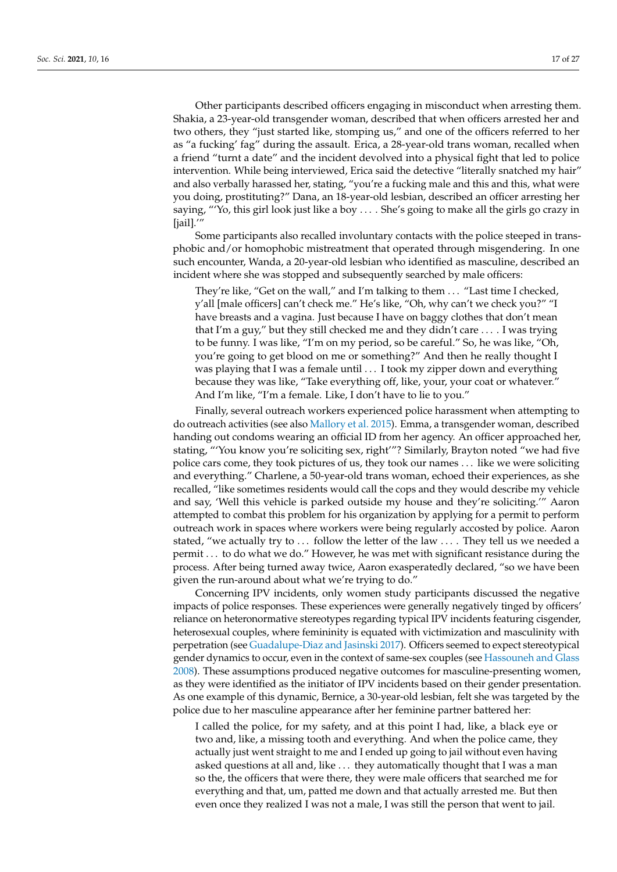Other participants described officers engaging in misconduct when arresting them. Shakia, a 23-year-old transgender woman, described that when officers arrested her and two others, they "just started like, stomping us," and one of the officers referred to her as "a fucking' fag" during the assault. Erica, a 28-year-old trans woman, recalled when a friend "turnt a date" and the incident devolved into a physical fight that led to police intervention. While being interviewed, Erica said the detective "literally snatched my hair" and also verbally harassed her, stating, "you're a fucking male and this and this, what were you doing, prostituting?" Dana, an 18-year-old lesbian, described an officer arresting her saying, "'Yo, this girl look just like a boy . . . . She's going to make all the girls go crazy in [jail].'"

Some participants also recalled involuntary contacts with the police steeped in transphobic and/or homophobic mistreatment that operated through misgendering. In one such encounter, Wanda, a 20-year-old lesbian who identified as masculine, described an incident where she was stopped and subsequently searched by male officers:

They're like, "Get on the wall," and I'm talking to them . . . "Last time I checked, y'all [male officers] can't check me." He's like, "Oh, why can't we check you?" "I have breasts and a vagina. Just because I have on baggy clothes that don't mean that I'm a guy," but they still checked me and they didn't care . . . . I was trying to be funny. I was like, "I'm on my period, so be careful." So, he was like, "Oh, you're going to get blood on me or something?" And then he really thought I was playing that I was a female until . . . I took my zipper down and everything because they was like, "Take everything off, like, your, your coat or whatever." And I'm like, "I'm a female. Like, I don't have to lie to you."

Finally, several outreach workers experienced police harassment when attempting to do outreach activities (see also [Mallory et al.](#page-25-11) [2015\)](#page-25-11). Emma, a transgender woman, described handing out condoms wearing an official ID from her agency. An officer approached her, stating, "'You know you're soliciting sex, right'"? Similarly, Brayton noted "we had five police cars come, they took pictures of us, they took our names . . . like we were soliciting and everything." Charlene, a 50-year-old trans woman, echoed their experiences, as she recalled, "like sometimes residents would call the cops and they would describe my vehicle and say, 'Well this vehicle is parked outside my house and they're soliciting.'" Aaron attempted to combat this problem for his organization by applying for a permit to perform outreach work in spaces where workers were being regularly accosted by police. Aaron stated, "we actually try to ... follow the letter of the law .... They tell us we needed a permit . . . to do what we do." However, he was met with significant resistance during the process. After being turned away twice, Aaron exasperatedly declared, "so we have been given the run-around about what we're trying to do."

Concerning IPV incidents, only women study participants discussed the negative impacts of police responses. These experiences were generally negatively tinged by officers' reliance on heteronormative stereotypes regarding typical IPV incidents featuring cisgender, heterosexual couples, where femininity is equated with victimization and masculinity with perpetration (see [Guadalupe-Diaz and Jasinski](#page-24-16) [2017\)](#page-24-16). Officers seemed to expect stereotypical gender dynamics to occur, even in the context of same-sex couples (see [Hassouneh and Glass](#page-24-26) [2008\)](#page-24-26). These assumptions produced negative outcomes for masculine-presenting women, as they were identified as the initiator of IPV incidents based on their gender presentation. As one example of this dynamic, Bernice, a 30-year-old lesbian, felt she was targeted by the police due to her masculine appearance after her feminine partner battered her:

I called the police, for my safety, and at this point I had, like, a black eye or two and, like, a missing tooth and everything. And when the police came, they actually just went straight to me and I ended up going to jail without even having asked questions at all and, like . . . they automatically thought that I was a man so the, the officers that were there, they were male officers that searched me for everything and that, um, patted me down and that actually arrested me. But then even once they realized I was not a male, I was still the person that went to jail.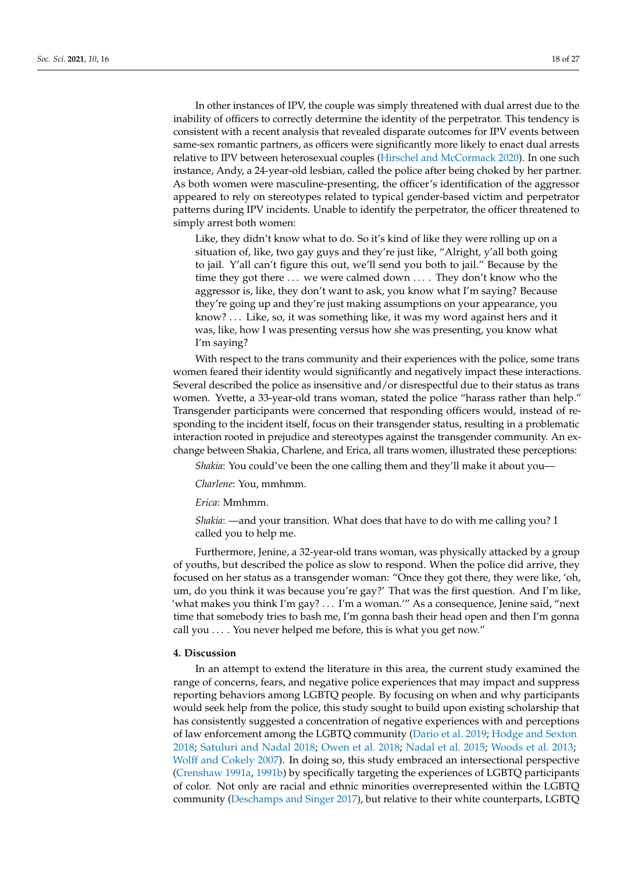In other instances of IPV, the couple was simply threatened with dual arrest due to the inability of officers to correctly determine the identity of the perpetrator. This tendency is consistent with a recent analysis that revealed disparate outcomes for IPV events between same-sex romantic partners, as officers were significantly more likely to enact dual arrests relative to IPV between heterosexual couples [\(Hirschel and McCormack](#page-24-27) [2020\)](#page-24-27). In one such instance, Andy, a 24-year-old lesbian, called the police after being choked by her partner. As both women were masculine-presenting, the officer's identification of the aggressor appeared to rely on stereotypes related to typical gender-based victim and perpetrator patterns during IPV incidents. Unable to identify the perpetrator, the officer threatened to simply arrest both women:

Like, they didn't know what to do. So it's kind of like they were rolling up on a situation of, like, two gay guys and they're just like, "Alright, y'all both going to jail. Y'all can't figure this out, we'll send you both to jail." Because by the time they got there . . . we were calmed down . . . . They don't know who the aggressor is, like, they don't want to ask, you know what I'm saying? Because they're going up and they're just making assumptions on your appearance, you know? ... Like, so, it was something like, it was my word against hers and it was, like, how I was presenting versus how she was presenting, you know what I'm saying?

With respect to the trans community and their experiences with the police, some trans women feared their identity would significantly and negatively impact these interactions. Several described the police as insensitive and/or disrespectful due to their status as trans women. Yvette, a 33-year-old trans woman, stated the police "harass rather than help." Transgender participants were concerned that responding officers would, instead of responding to the incident itself, focus on their transgender status, resulting in a problematic interaction rooted in prejudice and stereotypes against the transgender community. An exchange between Shakia, Charlene, and Erica, all trans women, illustrated these perceptions:

*Shakia*: You could've been the one calling them and they'll make it about you—

*Charlene*: You, mmhmm.

*Erica*: Mmhmm.

*Shakia*: —and your transition. What does that have to do with me calling you? I called you to help me.

Furthermore, Jenine, a 32-year-old trans woman, was physically attacked by a group of youths, but described the police as slow to respond. When the police did arrive, they focused on her status as a transgender woman: "Once they got there, they were like, 'oh, um, do you think it was because you're gay?' That was the first question. And I'm like, 'what makes you think I'm gay? . . . I'm a woman.'" As a consequence, Jenine said, "next time that somebody tries to bash me, I'm gonna bash their head open and then I'm gonna call you . . . . You never helped me before, this is what you get now."

### **4. Discussion**

In an attempt to extend the literature in this area, the current study examined the range of concerns, fears, and negative police experiences that may impact and suppress reporting behaviors among LGBTQ people. By focusing on when and why participants would seek help from the police, this study sought to build upon existing scholarship that has consistently suggested a concentration of negative experiences with and perceptions of law enforcement among the LGBTQ community [\(Dario et al.](#page-23-2) [2019;](#page-23-2) [Hodge and Sexton](#page-24-1) [2018;](#page-24-1) [Satuluri and Nadal](#page-26-3) [2018;](#page-26-3) [Owen et al.](#page-26-1) [2018;](#page-26-1) [Nadal et al.](#page-26-2) [2015;](#page-26-2) [Woods et al.](#page-27-6) [2013;](#page-27-6) [Wolff and Cokely](#page-27-3) [2007\)](#page-27-3). In doing so, this study embraced an intersectional perspective [\(Crenshaw](#page-23-15) [1991a,](#page-23-15) [1991b\)](#page-23-16) by specifically targeting the experiences of LGBTQ participants of color. Not only are racial and ethnic minorities overrepresented within the LGBTQ community [\(Deschamps and Singer](#page-23-1) [2017\)](#page-23-1), but relative to their white counterparts, LGBTQ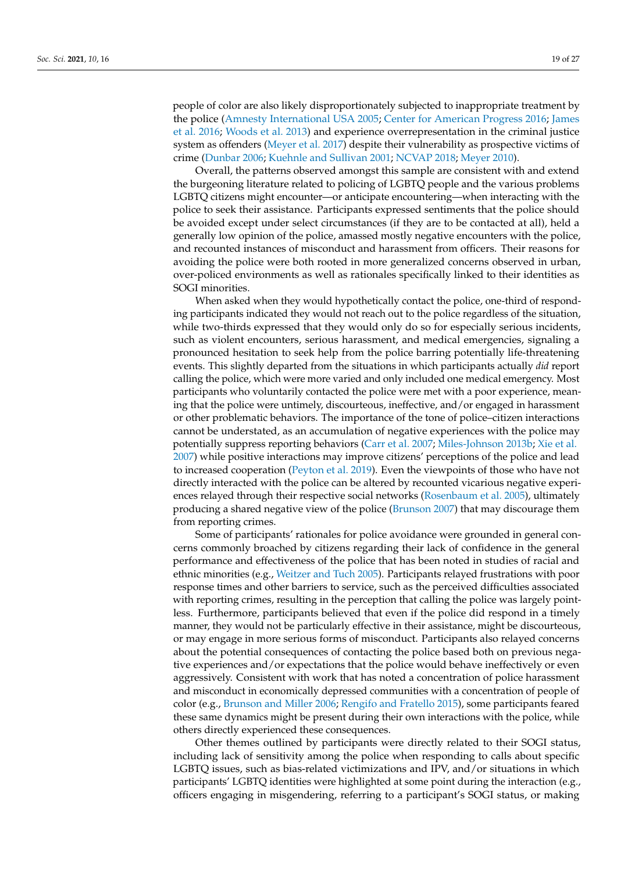people of color are also likely disproportionately subjected to inappropriate treatment by the police [\(Amnesty International USA](#page-22-1) [2005;](#page-22-1) [Center for American Progress](#page-23-4) [2016;](#page-23-4) [James](#page-24-2) [et al.](#page-24-2) [2016;](#page-24-2) [Woods et al.](#page-27-6) [2013\)](#page-27-6) and experience overrepresentation in the criminal justice system as offenders [\(Meyer et al.](#page-25-2) [2017\)](#page-25-2) despite their vulnerability as prospective victims of crime [\(Dunbar](#page-23-5) [2006;](#page-23-5) [Kuehnle and Sullivan](#page-25-7) [2001;](#page-25-7) [NCVAP](#page-26-12) [2018;](#page-26-12) [Meyer](#page-25-8) [2010\)](#page-25-8).

Overall, the patterns observed amongst this sample are consistent with and extend the burgeoning literature related to policing of LGBTQ people and the various problems LGBTQ citizens might encounter—or anticipate encountering—when interacting with the police to seek their assistance. Participants expressed sentiments that the police should be avoided except under select circumstances (if they are to be contacted at all), held a generally low opinion of the police, amassed mostly negative encounters with the police, and recounted instances of misconduct and harassment from officers. Their reasons for avoiding the police were both rooted in more generalized concerns observed in urban, over-policed environments as well as rationales specifically linked to their identities as SOGI minorities.

When asked when they would hypothetically contact the police, one-third of responding participants indicated they would not reach out to the police regardless of the situation, while two-thirds expressed that they would only do so for especially serious incidents, such as violent encounters, serious harassment, and medical emergencies, signaling a pronounced hesitation to seek help from the police barring potentially life-threatening events. This slightly departed from the situations in which participants actually *did* report calling the police, which were more varied and only included one medical emergency. Most participants who voluntarily contacted the police were met with a poor experience, meaning that the police were untimely, discourteous, ineffective, and/or engaged in harassment or other problematic behaviors. The importance of the tone of police–citizen interactions cannot be understated, as an accumulation of negative experiences with the police may potentially suppress reporting behaviors [\(Carr et al.](#page-23-27) [2007;](#page-23-27) [Miles-Johnson](#page-25-6) [2013b;](#page-25-6) [Xie et al.](#page-27-7) [2007\)](#page-27-7) while positive interactions may improve citizens' perceptions of the police and lead to increased cooperation [\(Peyton et al.](#page-26-20) [2019\)](#page-26-20). Even the viewpoints of those who have not directly interacted with the police can be altered by recounted vicarious negative experiences relayed through their respective social networks [\(Rosenbaum et al.](#page-26-21) [2005\)](#page-26-21), ultimately producing a shared negative view of the police [\(Brunson](#page-23-26) [2007\)](#page-23-26) that may discourage them from reporting crimes.

Some of participants' rationales for police avoidance were grounded in general concerns commonly broached by citizens regarding their lack of confidence in the general performance and effectiveness of the police that has been noted in studies of racial and ethnic minorities (e.g., [Weitzer and Tuch](#page-27-22) [2005\)](#page-27-22). Participants relayed frustrations with poor response times and other barriers to service, such as the perceived difficulties associated with reporting crimes, resulting in the perception that calling the police was largely pointless. Furthermore, participants believed that even if the police did respond in a timely manner, they would not be particularly effective in their assistance, might be discourteous, or may engage in more serious forms of misconduct. Participants also relayed concerns about the potential consequences of contacting the police based both on previous negative experiences and/or expectations that the police would behave ineffectively or even aggressively. Consistent with work that has noted a concentration of police harassment and misconduct in economically depressed communities with a concentration of people of color (e.g., [Brunson and Miller](#page-23-25) [2006;](#page-23-25) [Rengifo and Fratello](#page-26-22) [2015\)](#page-26-22), some participants feared these same dynamics might be present during their own interactions with the police, while others directly experienced these consequences.

Other themes outlined by participants were directly related to their SOGI status, including lack of sensitivity among the police when responding to calls about specific LGBTQ issues, such as bias-related victimizations and IPV, and/or situations in which participants' LGBTQ identities were highlighted at some point during the interaction (e.g., officers engaging in misgendering, referring to a participant's SOGI status, or making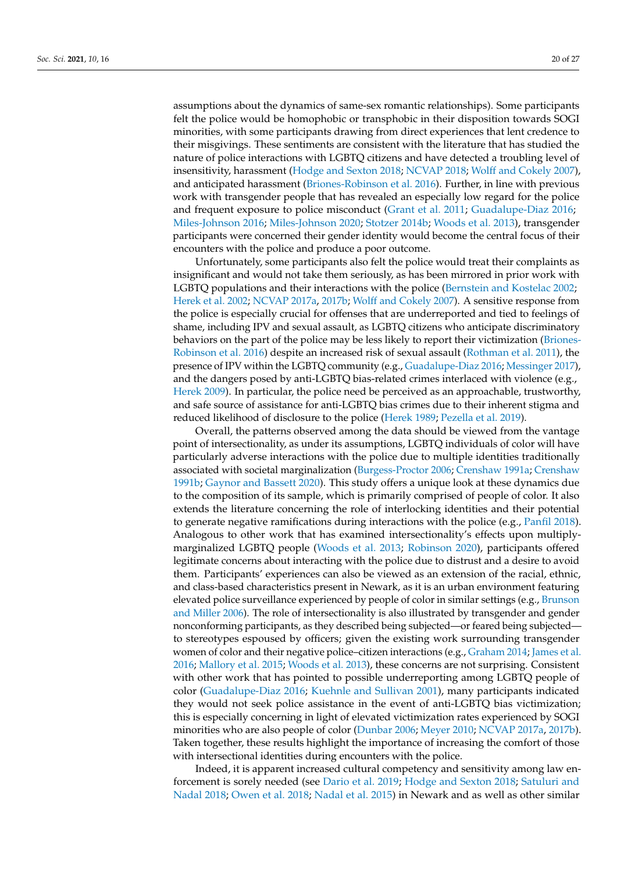assumptions about the dynamics of same-sex romantic relationships). Some participants felt the police would be homophobic or transphobic in their disposition towards SOGI minorities, with some participants drawing from direct experiences that lent credence to their misgivings. These sentiments are consistent with the literature that has studied the nature of police interactions with LGBTQ citizens and have detected a troubling level of insensitivity, harassment [\(Hodge and Sexton](#page-24-1) [2018;](#page-24-1) [NCVAP](#page-26-12) [2018;](#page-26-12) [Wolff and Cokely](#page-27-3) [2007\)](#page-27-3), and anticipated harassment [\(Briones-Robinson et al.](#page-23-6) [2016\)](#page-23-6). Further, in line with previous work with transgender people that has revealed an especially low regard for the police and frequent exposure to police misconduct [\(Grant et al.](#page-24-4) [2011;](#page-24-4) [Guadalupe-Diaz](#page-24-3) [2016;](#page-24-3) [Miles-Johnson](#page-25-5) [2016;](#page-25-5) [Miles-Johnson](#page-25-4) [2020;](#page-25-4) [Stotzer](#page-27-5) [2014b;](#page-27-5) [Woods et al.](#page-27-6) [2013\)](#page-27-6), transgender participants were concerned their gender identity would become the central focus of their encounters with the police and produce a poor outcome.

Unfortunately, some participants also felt the police would treat their complaints as insignificant and would not take them seriously, as has been mirrored in prior work with LGBTQ populations and their interactions with the police [\(Bernstein and Kostelac](#page-22-4) [2002;](#page-22-4) [Herek et al.](#page-24-11) [2002;](#page-24-11) [NCVAP](#page-26-4) [2017a,](#page-26-4) [2017b;](#page-26-5) [Wolff and Cokely](#page-27-3) [2007\)](#page-27-3). A sensitive response from the police is especially crucial for offenses that are underreported and tied to feelings of shame, including IPV and sexual assault, as LGBTQ citizens who anticipate discriminatory behaviors on the part of the police may be less likely to report their victimization [\(Briones-](#page-23-6)[Robinson et al.](#page-23-6) [2016\)](#page-23-6) despite an increased risk of sexual assault [\(Rothman et al.](#page-26-23) [2011\)](#page-26-23), the presence of IPV within the LGBTQ community (e.g., [Guadalupe-Diaz](#page-24-3) [2016;](#page-24-3) [Messinger](#page-25-3) [2017\)](#page-25-3), and the dangers posed by anti-LGBTQ bias-related crimes interlaced with violence (e.g., [Herek](#page-24-8) [2009\)](#page-24-8). In particular, the police need be perceived as an approachable, trustworthy, and safe source of assistance for anti-LGBTQ bias crimes due to their inherent stigma and reduced likelihood of disclosure to the police [\(Herek](#page-24-28) [1989;](#page-24-28) [Pezella et al.](#page-26-10) [2019\)](#page-26-10).

Overall, the patterns observed among the data should be viewed from the vantage point of intersectionality, as under its assumptions, LGBTQ individuals of color will have particularly adverse interactions with the police due to multiple identities traditionally associated with societal marginalization [\(Burgess-Proctor](#page-23-17) [2006;](#page-23-17) [Crenshaw](#page-23-15) [1991a;](#page-23-15) [Crenshaw](#page-23-16) [1991b;](#page-23-16) [Gaynor and Bassett](#page-24-7) [2020\)](#page-24-7). This study offers a unique look at these dynamics due to the composition of its sample, which is primarily comprised of people of color. It also extends the literature concerning the role of interlocking identities and their potential to generate negative ramifications during interactions with the police (e.g., [Panfil](#page-26-13) [2018\)](#page-26-13). Analogous to other work that has examined intersectionality's effects upon multiplymarginalized LGBTQ people [\(Woods et al.](#page-27-6) [2013;](#page-27-6) [Robinson](#page-26-24) [2020\)](#page-26-24), participants offered legitimate concerns about interacting with the police due to distrust and a desire to avoid them. Participants' experiences can also be viewed as an extension of the racial, ethnic, and class-based characteristics present in Newark, as it is an urban environment featuring elevated police surveillance experienced by people of color in similar settings (e.g., [Brunson](#page-23-25) [and Miller](#page-23-25) [2006\)](#page-23-25). The role of intersectionality is also illustrated by transgender and gender nonconforming participants, as they described being subjected—or feared being subjected to stereotypes espoused by officers; given the existing work surrounding transgender women of color and their negative police–citizen interactions (e.g., [Graham](#page-24-18) [2014;](#page-24-18) [James et al.](#page-24-2) [2016;](#page-24-2) [Mallory et al.](#page-25-11) [2015;](#page-25-11) [Woods et al.](#page-27-6) [2013\)](#page-27-6), these concerns are not surprising. Consistent with other work that has pointed to possible underreporting among LGBTQ people of color [\(Guadalupe-Diaz](#page-24-3) [2016;](#page-24-3) [Kuehnle and Sullivan](#page-25-7) [2001\)](#page-25-7), many participants indicated they would not seek police assistance in the event of anti-LGBTQ bias victimization; this is especially concerning in light of elevated victimization rates experienced by SOGI minorities who are also people of color [\(Dunbar](#page-23-5) [2006;](#page-23-5) [Meyer](#page-25-8) [2010;](#page-25-8) [NCVAP](#page-26-4) [2017a,](#page-26-4) [2017b\)](#page-26-5). Taken together, these results highlight the importance of increasing the comfort of those with intersectional identities during encounters with the police.

Indeed, it is apparent increased cultural competency and sensitivity among law enforcement is sorely needed (see [Dario et al.](#page-23-2) [2019;](#page-23-2) [Hodge and Sexton](#page-24-1) [2018;](#page-24-1) [Satuluri and](#page-26-3) [Nadal](#page-26-3) [2018;](#page-26-3) [Owen et al.](#page-26-1) [2018;](#page-26-1) [Nadal et al.](#page-26-2) [2015\)](#page-26-2) in Newark and as well as other similar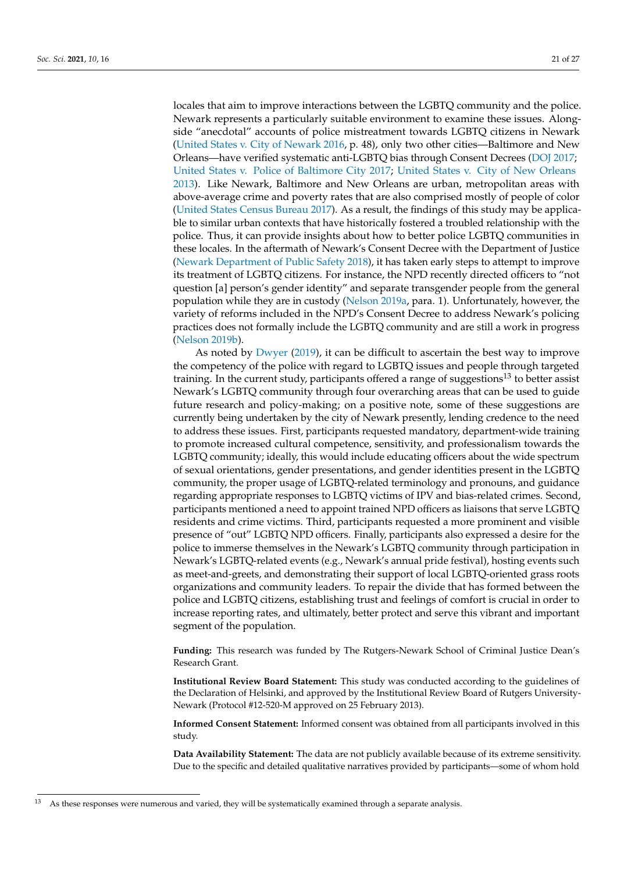locales that aim to improve interactions between the LGBTQ community and the police. Newark represents a particularly suitable environment to examine these issues. Alongside "anecdotal" accounts of police mistreatment towards LGBTQ citizens in Newark [\(United States v. City of Newark](#page-27-19) [2016,](#page-27-19) p. 48), only two other cities—Baltimore and New Orleans—have verified systematic anti-LGBTQ bias through Consent Decrees [\(DOJ](#page-23-28) [2017;](#page-23-28) [United States v. Police of Baltimore City](#page-27-23) [2017;](#page-27-23) [United States v. City of New Orleans](#page-27-24) [2013\)](#page-27-24). Like Newark, Baltimore and New Orleans are urban, metropolitan areas with above-average crime and poverty rates that are also comprised mostly of people of color [\(United States Census Bureau](#page-27-25) [2017\)](#page-27-25). As a result, the findings of this study may be applicable to similar urban contexts that have historically fostered a troubled relationship with the police. Thus, it can provide insights about how to better police LGBTQ communities in these locales. In the aftermath of Newark's Consent Decree with the Department of Justice [\(Newark Department of Public Safety](#page-26-16) [2018\)](#page-26-16), it has taken early steps to attempt to improve its treatment of LGBTQ citizens. For instance, the NPD recently directed officers to "not question [a] person's gender identity" and separate transgender people from the general population while they are in custody [\(Nelson](#page-26-25) [2019a,](#page-26-25) para. 1). Unfortunately, however, the variety of reforms included in the NPD's Consent Decree to address Newark's policing practices does not formally include the LGBTQ community and are still a work in progress [\(Nelson](#page-26-26) [2019b\)](#page-26-26).

As noted by [Dwyer](#page-24-29) [\(2019\)](#page-24-29), it can be difficult to ascertain the best way to improve the competency of the police with regard to LGBTQ issues and people through targeted training. In the current study, participants offered a range of suggestions<sup>13</sup> to better assist Newark's LGBTQ community through four overarching areas that can be used to guide future research and policy-making; on a positive note, some of these suggestions are currently being undertaken by the city of Newark presently, lending credence to the need to address these issues. First, participants requested mandatory, department-wide training to promote increased cultural competence, sensitivity, and professionalism towards the LGBTQ community; ideally, this would include educating officers about the wide spectrum of sexual orientations, gender presentations, and gender identities present in the LGBTQ community, the proper usage of LGBTQ-related terminology and pronouns, and guidance regarding appropriate responses to LGBTQ victims of IPV and bias-related crimes. Second, participants mentioned a need to appoint trained NPD officers as liaisons that serve LGBTQ residents and crime victims. Third, participants requested a more prominent and visible presence of "out" LGBTQ NPD officers. Finally, participants also expressed a desire for the police to immerse themselves in the Newark's LGBTQ community through participation in Newark's LGBTQ-related events (e.g., Newark's annual pride festival), hosting events such as meet-and-greets, and demonstrating their support of local LGBTQ-oriented grass roots organizations and community leaders. To repair the divide that has formed between the police and LGBTQ citizens, establishing trust and feelings of comfort is crucial in order to increase reporting rates, and ultimately, better protect and serve this vibrant and important segment of the population.

**Funding:** This research was funded by The Rutgers-Newark School of Criminal Justice Dean's Research Grant.

**Institutional Review Board Statement:** This study was conducted according to the guidelines of the Declaration of Helsinki, and approved by the Institutional Review Board of Rutgers University-Newark (Protocol #12-520-M approved on 25 February 2013).

**Informed Consent Statement:** Informed consent was obtained from all participants involved in this study.

**Data Availability Statement:** The data are not publicly available because of its extreme sensitivity. Due to the specific and detailed qualitative narratives provided by participants—some of whom hold

<sup>13</sup> As these responses were numerous and varied, they will be systematically examined through a separate analysis.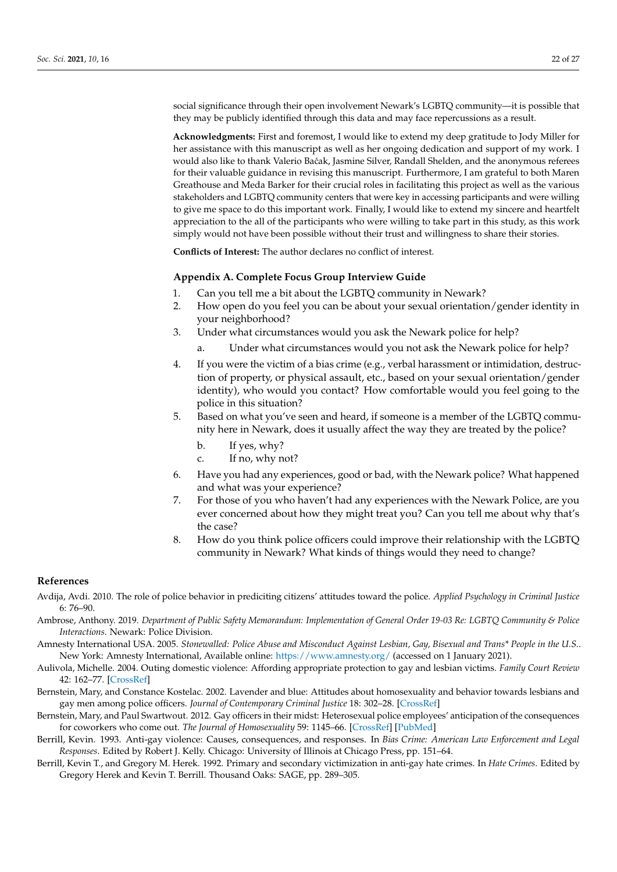social significance through their open involvement Newark's LGBTQ community—it is possible that they may be publicly identified through this data and may face repercussions as a result.

**Acknowledgments:** First and foremost, I would like to extend my deep gratitude to Jody Miller for her assistance with this manuscript as well as her ongoing dedication and support of my work. I would also like to thank Valerio Ba´cak, Jasmine Silver, Randall Shelden, and the anonymous referees for their valuable guidance in revising this manuscript. Furthermore, I am grateful to both Maren Greathouse and Meda Barker for their crucial roles in facilitating this project as well as the various stakeholders and LGBTQ community centers that were key in accessing participants and were willing to give me space to do this important work. Finally, I would like to extend my sincere and heartfelt appreciation to the all of the participants who were willing to take part in this study, as this work simply would not have been possible without their trust and willingness to share their stories.

**Conflicts of Interest:** The author declares no conflict of interest.

## <span id="page-22-8"></span>**Appendix A. Complete Focus Group Interview Guide**

- 1. Can you tell me a bit about the LGBTQ community in Newark?
- 2. How open do you feel you can be about your sexual orientation/gender identity in your neighborhood?
- 3. Under what circumstances would you ask the Newark police for help?
	- a. Under what circumstances would you not ask the Newark police for help?
- 4. If you were the victim of a bias crime (e.g., verbal harassment or intimidation, destruction of property, or physical assault, etc., based on your sexual orientation/gender identity), who would you contact? How comfortable would you feel going to the police in this situation?
- 5. Based on what you've seen and heard, if someone is a member of the LGBTQ community here in Newark, does it usually affect the way they are treated by the police?
	- b. If yes, why?
	- c. If no, why not?
- 6. Have you had any experiences, good or bad, with the Newark police? What happened and what was your experience?
- 7. For those of you who haven't had any experiences with the Newark Police, are you ever concerned about how they might treat you? Can you tell me about why that's the case?
- 8. How do you think police officers could improve their relationship with the LGBTQ community in Newark? What kinds of things would they need to change?

## **References**

- <span id="page-22-6"></span>Avdija, Avdi. 2010. The role of police behavior in prediciting citizens' attitudes toward the police. *Applied Psychology in Criminal Justice* 6: 76–90.
- <span id="page-22-7"></span>Ambrose, Anthony. 2019. *Department of Public Safety Memorandum: Implementation of General Order 19-03 Re: LGBTQ Community & Police Interactions*. Newark: Police Division.
- <span id="page-22-1"></span>Amnesty International USA. 2005. *Stonewalled: Police Abuse and Misconduct Against Lesbian, Gay, Bisexual and Trans\* People in the U.S.*. New York: Amnesty International, Available online: <https://www.amnesty.org/> (accessed on 1 January 2021).
- <span id="page-22-3"></span>Aulivola, Michelle. 2004. Outing domestic violence: Affording appropriate protection to gay and lesbian victims. *Family Court Review* 42: 162–77. [\[CrossRef\]](http://doi.org/10.1177/1531244504421012)
- <span id="page-22-4"></span>Bernstein, Mary, and Constance Kostelac. 2002. Lavender and blue: Attitudes about homosexuality and behavior towards lesbians and gay men among police officers. *Journal of Contemporary Criminal Justice* 18: 302–28. [\[CrossRef\]](http://doi.org/10.1177/1043986202018003006)
- <span id="page-22-5"></span>Bernstein, Mary, and Paul Swartwout. 2012. Gay officers in their midst: Heterosexual police employees' anticipation of the consequences for coworkers who come out. *The Journal of Homosexuality* 59: 1145–66. [\[CrossRef\]](http://doi.org/10.1080/00918369.2012.673945) [\[PubMed\]](http://www.ncbi.nlm.nih.gov/pubmed/22966996)
- <span id="page-22-2"></span>Berrill, Kevin. 1993. Anti-gay violence: Causes, consequences, and responses. In *Bias Crime: American Law Enforcement and Legal Responses*. Edited by Robert J. Kelly. Chicago: University of Illinois at Chicago Press, pp. 151–64.
- <span id="page-22-0"></span>Berrill, Kevin T., and Gregory M. Herek. 1992. Primary and secondary victimization in anti-gay hate crimes. In *Hate Crimes*. Edited by Gregory Herek and Kevin T. Berrill. Thousand Oaks: SAGE, pp. 289–305.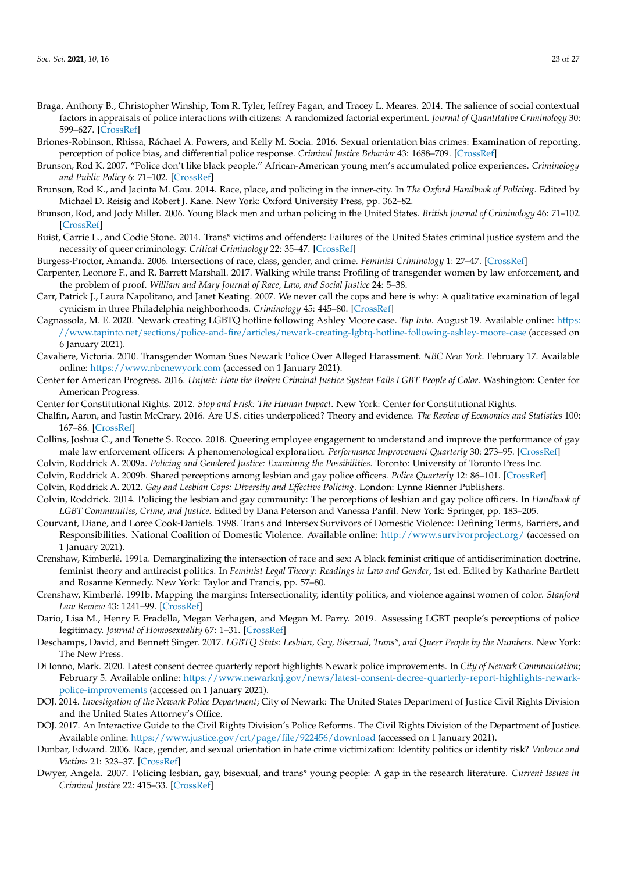- <span id="page-23-19"></span>Braga, Anthony B., Christopher Winship, Tom R. Tyler, Jeffrey Fagan, and Tracey L. Meares. 2014. The salience of social contextual factors in appraisals of police interactions with citizens: A randomized factorial experiment. *Journal of Quantitative Criminology* 30: 599–627. [\[CrossRef\]](http://doi.org/10.1007/s10940-014-9216-7)
- <span id="page-23-6"></span>Briones-Robinson, Rhissa, Ráchael A. Powers, and Kelly M. Socia. 2016. Sexual orientation bias crimes: Examination of reporting, perception of police bias, and differential police response. *Criminal Justice Behavior* 43: 1688–709. [\[CrossRef\]](http://doi.org/10.1177/0093854816660583)
- <span id="page-23-26"></span>Brunson, Rod K. 2007. "Police don't like black people." African-American young men's accumulated police experiences. *Criminology and Public Policy* 6: 71–102. [\[CrossRef\]](http://doi.org/10.1111/j.1745-9133.2007.00423.x)
- <span id="page-23-24"></span>Brunson, Rod K., and Jacinta M. Gau. 2014. Race, place, and policing in the inner-city. In *The Oxford Handbook of Policing*. Edited by Michael D. Reisig and Robert J. Kane. New York: Oxford University Press, pp. 362–82.
- <span id="page-23-25"></span>Brunson, Rod, and Jody Miller. 2006. Young Black men and urban policing in the United States. *British Journal of Criminology* 46: 71–102. [\[CrossRef\]](http://doi.org/10.1093/bjc/azi093)
- <span id="page-23-0"></span>Buist, Carrie L., and Codie Stone. 2014. Trans\* victims and offenders: Failures of the United States criminal justice system and the necessity of queer criminology. *Critical Criminology* 22: 35–47. [\[CrossRef\]](http://doi.org/10.1007/s10612-013-9224-1)
- <span id="page-23-17"></span>Burgess-Proctor, Amanda. 2006. Intersections of race, class, gender, and crime. *Feminist Criminology* 1: 27–47. [\[CrossRef\]](http://doi.org/10.1177/1557085105282899)
- <span id="page-23-13"></span>Carpenter, Leonore F., and R. Barrett Marshall. 2017. Walking while trans: Profiling of transgender women by law enforcement, and the problem of proof. *William and Mary Journal of Race, Law, and Social Justice* 24: 5–38.
- <span id="page-23-27"></span>Carr, Patrick J., Laura Napolitano, and Janet Keating. 2007. We never call the cops and here is why: A qualitative examination of legal cynicism in three Philadelphia neighborhoods. *Criminology* 45: 445–80. [\[CrossRef\]](http://doi.org/10.1111/j.1745-9125.2007.00084.x)
- <span id="page-23-18"></span>Cagnassola, M. E. 2020. Newark creating LGBTQ hotline following Ashley Moore case. *Tap Into*. August 19. Available online: [https:](https://www.tapinto.net/sections/police-and-fire/articles/newark-creating-lgbtq-hotline-following-ashley-moore-case) [//www.tapinto.net/sections/police-and-fire/articles/newark-creating-lgbtq-hotline-following-ashley-moore-case](https://www.tapinto.net/sections/police-and-fire/articles/newark-creating-lgbtq-hotline-following-ashley-moore-case) (accessed on 6 January 2021).
- <span id="page-23-22"></span>Cavaliere, Victoria. 2010. Transgender Woman Sues Newark Police Over Alleged Harassment. *NBC New York*. February 17. Available online: <https://www.nbcnewyork.com> (accessed on 1 January 2021).
- <span id="page-23-4"></span>Center for American Progress. 2016. *Unjust: How the Broken Criminal Justice System Fails LGBT People of Color*. Washington: Center for American Progress.
- <span id="page-23-14"></span>Center for Constitutional Rights. 2012. *Stop and Frisk: The Human Impact*. New York: Center for Constitutional Rights.
- <span id="page-23-20"></span>Chalfin, Aaron, and Justin McCrary. 2016. Are U.S. cities underpoliced? Theory and evidence. *The Review of Economics and Statistics* 100: 167–86. [\[CrossRef\]](http://doi.org/10.1162/REST_a_00694)
- <span id="page-23-11"></span>Collins, Joshua C., and Tonette S. Rocco. 2018. Queering employee engagement to understand and improve the performance of gay male law enforcement officers: A phenomenological exploration. *Performance Improvement Quarterly* 30: 273–95. [\[CrossRef\]](http://doi.org/10.1002/piq.21255)
- <span id="page-23-9"></span>Colvin, Roddrick A. 2009a. *Policing and Gendered Justice: Examining the Possibilities*. Toronto: University of Toronto Press Inc.
- <span id="page-23-10"></span><span id="page-23-8"></span>Colvin, Roddrick A. 2009b. Shared perceptions among lesbian and gay police officers. *Police Quarterly* 12: 86–101. [\[CrossRef\]](http://doi.org/10.1177/1098611108327308)
- Colvin, Roddrick A. 2012. *Gay and Lesbian Cops: Diversity and Effective Policing*. London: Lynne Rienner Publishers.
- <span id="page-23-12"></span>Colvin, Roddrick. 2014. Policing the lesbian and gay community: The perceptions of lesbian and gay police officers. In *Handbook of LGBT Communities, Crime, and Justice*. Edited by Dana Peterson and Vanessa Panfil. New York: Springer, pp. 183–205.
- <span id="page-23-7"></span>Courvant, Diane, and Loree Cook-Daniels. 1998. Trans and Intersex Survivors of Domestic Violence: Defining Terms, Barriers, and Responsibilities. National Coalition of Domestic Violence. Available online: <http://www.survivorproject.org/> (accessed on 1 January 2021).
- <span id="page-23-15"></span>Crenshaw, Kimberlé. 1991a. Demarginalizing the intersection of race and sex: A black feminist critique of antidiscrimination doctrine, feminist theory and antiracist politics. In *Feminist Legal Theory: Readings in Law and Gender*, 1st ed. Edited by Katharine Bartlett and Rosanne Kennedy. New York: Taylor and Francis, pp. 57–80.
- <span id="page-23-16"></span>Crenshaw, Kimberlé. 1991b. Mapping the margins: Intersectionality, identity politics, and violence against women of color. *Stanford Law Review* 43: 1241–99. [\[CrossRef\]](http://doi.org/10.2307/1229039)
- <span id="page-23-2"></span>Dario, Lisa M., Henry F. Fradella, Megan Verhagen, and Megan M. Parry. 2019. Assessing LGBT people's perceptions of police legitimacy. *Journal of Homosexuality* 67: 1–31. [\[CrossRef\]](http://doi.org/10.1080/00918369.2018.1560127)
- <span id="page-23-1"></span>Deschamps, David, and Bennett Singer. 2017. *LGBTQ Stats: Lesbian, Gay, Bisexual, Trans\*, and Queer People by the Numbers*. New York: The New Press.
- <span id="page-23-23"></span>Di Ionno, Mark. 2020. Latest consent decree quarterly report highlights Newark police improvements. In *City of Newark Communication*; February 5. Available online: [https://www.newarknj.gov/news/latest-consent-decree-quarterly-report-highlights-newark](https://www.newarknj.gov/news/latest-consent-decree-quarterly-report-highlights-newark-police-improvements)[police-improvements](https://www.newarknj.gov/news/latest-consent-decree-quarterly-report-highlights-newark-police-improvements) (accessed on 1 January 2021).
- <span id="page-23-21"></span>DOJ. 2014. *Investigation of the Newark Police Department*; City of Newark: The United States Department of Justice Civil Rights Division and the United States Attorney's Office.
- <span id="page-23-28"></span>DOJ. 2017. An Interactive Guide to the Civil Rights Division's Police Reforms. The Civil Rights Division of the Department of Justice. Available online: <https://www.justice.gov/crt/page/file/922456/download> (accessed on 1 January 2021).
- <span id="page-23-5"></span>Dunbar, Edward. 2006. Race, gender, and sexual orientation in hate crime victimization: Identity politics or identity risk? *Violence and Victims* 21: 323–37. [\[CrossRef\]](http://doi.org/10.1891/vivi.21.3.323)
- <span id="page-23-3"></span>Dwyer, Angela. 2007. Policing lesbian, gay, bisexual, and trans\* young people: A gap in the research literature. *Current Issues in Criminal Justice* 22: 415–33. [\[CrossRef\]](http://doi.org/10.1080/10345329.2011.12035896)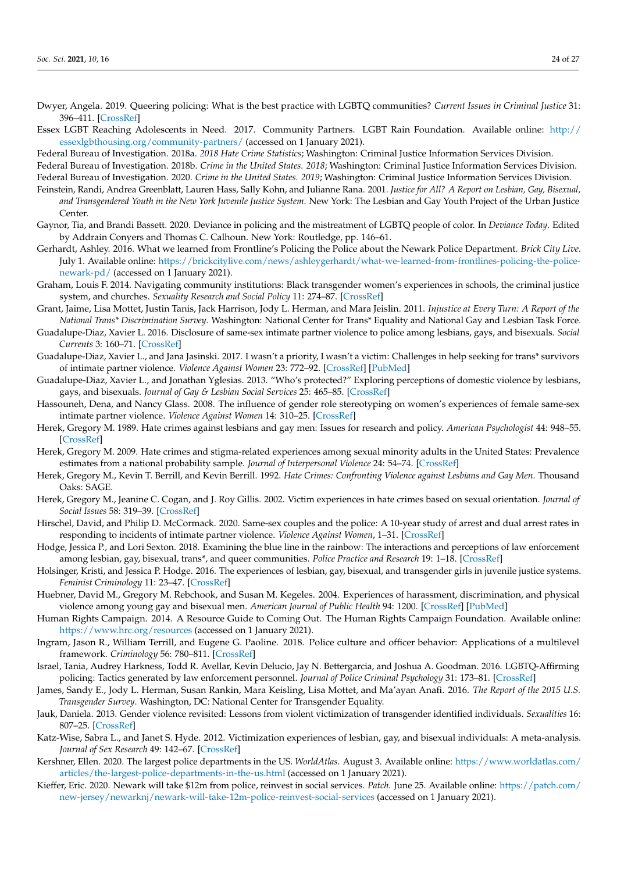- <span id="page-24-29"></span>Dwyer, Angela. 2019. Queering policing: What is the best practice with LGBTQ communities? *Current Issues in Criminal Justice* 31: 396–411. [\[CrossRef\]](http://doi.org/10.1080/10345329.2019.1640172)
- <span id="page-24-20"></span>Essex LGBT Reaching Adolescents in Need. 2017. Community Partners. LGBT Rain Foundation. Available online: [http://](http://essexlgbthousing.org/community-partners/) [essexlgbthousing.org/community-partners/](http://essexlgbthousing.org/community-partners/) (accessed on 1 January 2021).

<span id="page-24-12"></span>Federal Bureau of Investigation. 2018a. *2018 Hate Crime Statistics*; Washington: Criminal Justice Information Services Division.

<span id="page-24-22"></span><span id="page-24-19"></span>Federal Bureau of Investigation. 2018b. *Crime in the United States. 2018*; Washington: Criminal Justice Information Services Division. Federal Bureau of Investigation. 2020. *Crime in the United States. 2019*; Washington: Criminal Justice Information Services Division.

- <span id="page-24-5"></span>Feinstein, Randi, Andrea Greenblatt, Lauren Hass, Sally Kohn, and Julianne Rana. 2001. *Justice for All? A Report on Lesbian, Gay, Bisexual, and Transgendered Youth in the New York Juvenile Justice System*. New York: The Lesbian and Gay Youth Project of the Urban Justice Center.
- <span id="page-24-7"></span>Gaynor, Tia, and Brandi Bassett. 2020. Deviance in policing and the mistreatment of LGBTQ people of color. In *Deviance Today*. Edited by Addrain Conyers and Thomas C. Calhoun. New York: Routledge, pp. 146–61.
- <span id="page-24-24"></span>Gerhardt, Ashley. 2016. What we learned from Frontline's Policing the Police about the Newark Police Department. *Brick City Live*. July 1. Available online: [https://brickcitylive.com/news/ashleygerhardt/what-we-learned-from-frontlines-policing-the-police](https://brickcitylive.com/news/ashleygerhardt/what-we-learned-from-frontlines-policing-the-police-newark-pd/)[newark-pd/](https://brickcitylive.com/news/ashleygerhardt/what-we-learned-from-frontlines-policing-the-police-newark-pd/) (accessed on 1 January 2021).
- <span id="page-24-18"></span>Graham, Louis F. 2014. Navigating community institutions: Black transgender women's experiences in schools, the criminal justice system, and churches. *Sexuality Research and Social Policy* 11: 274–87. [\[CrossRef\]](http://doi.org/10.1007/s13178-014-0144-y)
- <span id="page-24-4"></span>Grant, Jaime, Lisa Mottet, Justin Tanis, Jack Harrison, Jody L. Herman, and Mara Jeislin. 2011. *Injustice at Every Turn: A Report of the National Trans\* Discrimination Survey*. Washington: National Center for Trans\* Equality and National Gay and Lesbian Task Force.
- <span id="page-24-3"></span>Guadalupe-Diaz, Xavier L. 2016. Disclosure of same-sex intimate partner violence to police among lesbians, gays, and bisexuals. *Social Currents* 3: 160–71. [\[CrossRef\]](http://doi.org/10.1177/2329496515604635)
- <span id="page-24-16"></span>Guadalupe-Diaz, Xavier L., and Jana Jasinski. 2017. I wasn't a priority, I wasn't a victim: Challenges in help seeking for trans\* survivors of intimate partner violence. *Violence Against Women* 23: 772–92. [\[CrossRef\]](http://doi.org/10.1177/1077801216650288) [\[PubMed\]](http://www.ncbi.nlm.nih.gov/pubmed/27271779)
- <span id="page-24-13"></span>Guadalupe-Diaz, Xavier L., and Jonathan Yglesias. 2013. "Who's protected?" Exploring perceptions of domestic violence by lesbians, gays, and bisexuals. *Journal of Gay & Lesbian Social Services* 25: 465–85. [\[CrossRef\]](http://doi.org/10.1080/10538720.2013.806881)
- <span id="page-24-26"></span>Hassouneh, Dena, and Nancy Glass. 2008. The influence of gender role stereotyping on women's experiences of female same-sex intimate partner violence. *Violence Against Women* 14: 310–25. [\[CrossRef\]](http://doi.org/10.1177/1077801207313734)
- <span id="page-24-28"></span>Herek, Gregory M. 1989. Hate crimes against lesbians and gay men: Issues for research and policy. *American Psychologist* 44: 948–55. [\[CrossRef\]](http://doi.org/10.1037/0003-066X.44.6.948)
- <span id="page-24-8"></span>Herek, Gregory M. 2009. Hate crimes and stigma-related experiences among sexual minority adults in the United States: Prevalence estimates from a national probability sample. *Journal of Interpersonal Violence* 24: 54–74. [\[CrossRef\]](http://doi.org/10.1177/0886260508316477)
- <span id="page-24-14"></span>Herek, Gregory M., Kevin T. Berrill, and Kevin Berrill. 1992. *Hate Crimes: Confronting Violence against Lesbians and Gay Men*. Thousand Oaks: SAGE.
- <span id="page-24-11"></span>Herek, Gregory M., Jeanine C. Cogan, and J. Roy Gillis. 2002. Victim experiences in hate crimes based on sexual orientation. *Journal of Social Issues* 58: 319–39. [\[CrossRef\]](http://doi.org/10.1111/1540-4560.00263)
- <span id="page-24-27"></span>Hirschel, David, and Philip D. McCormack. 2020. Same-sex couples and the police: A 10-year study of arrest and dual arrest rates in responding to incidents of intimate partner violence. *Violence Against Women*, 1–31. [\[CrossRef\]](http://doi.org/10.1177/1077801220920378)
- <span id="page-24-1"></span>Hodge, Jessica P., and Lori Sexton. 2018. Examining the blue line in the rainbow: The interactions and perceptions of law enforcement among lesbian, gay, bisexual, trans\*, and queer communities. *Police Practice and Research* 19: 1–18. [\[CrossRef\]](http://doi.org/10.1080/15614263.2018.1526686)
- <span id="page-24-6"></span>Holsinger, Kristi, and Jessica P. Hodge. 2016. The experiences of lesbian, gay, bisexual, and transgender girls in juvenile justice systems. *Feminist Criminology* 11: 23–47. [\[CrossRef\]](http://doi.org/10.1177/1557085114557071)
- <span id="page-24-10"></span>Huebner, David M., Gregory M. Rebchook, and Susan M. Kegeles. 2004. Experiences of harassment, discrimination, and physical violence among young gay and bisexual men. *American Journal of Public Health* 94: 1200. [\[CrossRef\]](http://doi.org/10.2105/AJPH.94.7.1200) [\[PubMed\]](http://www.ncbi.nlm.nih.gov/pubmed/15226143)

<span id="page-24-15"></span>Human Rights Campaign. 2014. A Resource Guide to Coming Out. The Human Rights Campaign Foundation. Available online: <https://www.hrc.org/resources> (accessed on 1 January 2021).

- <span id="page-24-17"></span>Ingram, Jason R., William Terrill, and Eugene G. Paoline. 2018. Police culture and officer behavior: Applications of a multilevel framework. *Criminology* 56: 780–811. [\[CrossRef\]](http://doi.org/10.1111/1745-9125.12192)
- <span id="page-24-0"></span>Israel, Tania, Audrey Harkness, Todd R. Avellar, Kevin Delucio, Jay N. Bettergarcia, and Joshua A. Goodman. 2016. LGBTQ-Affirming policing: Tactics generated by law enforcement personnel. *Journal of Police Criminal Psychology* 31: 173–81. [\[CrossRef\]](http://doi.org/10.1007/s11896-015-9169-2)
- <span id="page-24-2"></span>James, Sandy E., Jody L. Herman, Susan Rankin, Mara Keisling, Lisa Mottet, and Ma'ayan Anafi. 2016. *The Report of the 2015 U.S. Transgender Survey*. Washington, DC: National Center for Transgender Equality.
- <span id="page-24-25"></span>Jauk, Daniela. 2013. Gender violence revisited: Lessons from violent victimization of transgender identified individuals. *Sexualities* 16: 807–25. [\[CrossRef\]](http://doi.org/10.1177/1363460713497215)
- <span id="page-24-9"></span>Katz-Wise, Sabra L., and Janet S. Hyde. 2012. Victimization experiences of lesbian, gay, and bisexual individuals: A meta-analysis. *Journal of Sex Research* 49: 142–67. [\[CrossRef\]](http://doi.org/10.1080/00224499.2011.637247)
- <span id="page-24-21"></span>Kershner, Ellen. 2020. The largest police departments in the US. *WorldAtlas*. August 3. Available online: [https://www.worldatlas.com/](https://www.worldatlas.com/articles/the-largest-police-departments-in-the-us.html) [articles/the-largest-police-departments-in-the-us.html](https://www.worldatlas.com/articles/the-largest-police-departments-in-the-us.html) (accessed on 1 January 2021).
- <span id="page-24-23"></span>Kieffer, Eric. 2020. Newark will take \$12m from police, reinvest in social services. *Patch*. June 25. Available online: [https://patch.com/](https://patch.com/new-jersey/newarknj/newark-will-take-12m-police-reinvest-social-services) [new-jersey/newarknj/newark-will-take-12m-police-reinvest-social-services](https://patch.com/new-jersey/newarknj/newark-will-take-12m-police-reinvest-social-services) (accessed on 1 January 2021).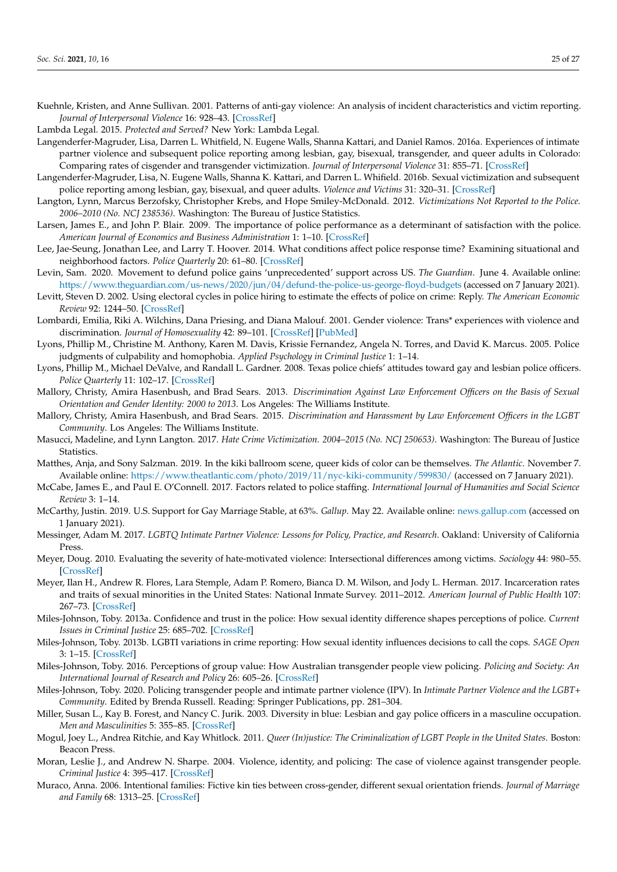<span id="page-25-7"></span>Kuehnle, Kristen, and Anne Sullivan. 2001. Patterns of anti-gay violence: An analysis of incident characteristics and victim reporting. *Journal of Interpersonal Violence* 16: 928–43. [\[CrossRef\]](http://doi.org/10.1177/088626001016009005)

<span id="page-25-10"></span>Lambda Legal. 2015. *Protected and Served?* New York: Lambda Legal.

- <span id="page-25-15"></span>Langenderfer-Magruder, Lisa, Darren L. Whitfield, N. Eugene Walls, Shanna Kattari, and Daniel Ramos. 2016a. Experiences of intimate partner violence and subsequent police reporting among lesbian, gay, bisexual, transgender, and queer adults in Colorado: Comparing rates of cisgender and transgender victimization. *Journal of Interpersonal Violence* 31: 855–71. [\[CrossRef\]](http://doi.org/10.1177/0886260514556767)
- <span id="page-25-14"></span>Langenderfer-Magruder, Lisa, N. Eugene Walls, Shanna K. Kattari, and Darren L. Whifield. 2016b. Sexual victimization and subsequent police reporting among lesbian, gay, bisexual, and queer adults. *Violence and Victims* 31: 320–31. [\[CrossRef\]](http://doi.org/10.1891/0886-6708.VV-D-14-00082)
- <span id="page-25-9"></span>Langton, Lynn, Marcus Berzofsky, Christopher Krebs, and Hope Smiley-McDonald. 2012. *Victimizations Not Reported to the Police. 2006–2010 (No. NCJ 238536)*. Washington: The Bureau of Justice Statistics.
- <span id="page-25-22"></span>Larsen, James E., and John P. Blair. 2009. The importance of police performance as a determinant of satisfaction with the police. *American Journal of Economics and Business Administration* 1: 1–10. [\[CrossRef\]](http://doi.org/10.3844/ajebasp.2009.1.10)
- <span id="page-25-25"></span>Lee, Jae-Seung, Jonathan Lee, and Larry T. Hoover. 2014. What conditions affect police response time? Examining situational and neighborhood factors. *Police Quarterly* 20: 61–80. [\[CrossRef\]](http://doi.org/10.1177/1098611116657327)
- <span id="page-25-26"></span>Levin, Sam. 2020. Movement to defund police gains 'unprecedented' support across US. *The Guardian*. June 4. Available online: <https://www.theguardian.com/us-news/2020/jun/04/defund-the-police-us-george-floyd-budgets> (accessed on 7 January 2021).
- <span id="page-25-24"></span>Levitt, Steven D. 2002. Using electoral cycles in police hiring to estimate the effects of police on crime: Reply. *The American Economic Review* 92: 1244–50. [\[CrossRef\]](http://doi.org/10.1257/00028280260344777)
- <span id="page-25-13"></span>Lombardi, Emilia, Riki A. Wilchins, Dana Priesing, and Diana Malouf. 2001. Gender violence: Trans\* experiences with violence and discrimination. *Journal of Homosexuality* 42: 89–101. [\[CrossRef\]](http://doi.org/10.1300/J082v42n01_05) [\[PubMed\]](http://www.ncbi.nlm.nih.gov/pubmed/11991568)
- <span id="page-25-18"></span>Lyons, Phillip M., Christine M. Anthony, Karen M. Davis, Krissie Fernandez, Angela N. Torres, and David K. Marcus. 2005. Police judgments of culpability and homophobia. *Applied Psychology in Criminal Justice* 1: 1–14.
- <span id="page-25-17"></span>Lyons, Phillip M., Michael DeValve, and Randall L. Gardner. 2008. Texas police chiefs' attitudes toward gay and lesbian police officers. *Police Quarterly* 11: 102–17. [\[CrossRef\]](http://doi.org/10.1177/1098611107302655)
- <span id="page-25-20"></span>Mallory, Christy, Amira Hasenbush, and Brad Sears. 2013. *Discrimination Against Law Enforcement Officers on the Basis of Sexual Orientation and Gender Identity: 2000 to 2013*. Los Angeles: The Williams Institute.
- <span id="page-25-11"></span>Mallory, Christy, Amira Hasenbush, and Brad Sears. 2015. *Discrimination and Harassment by Law Enforcement Officers in the LGBT Community*. Los Angeles: The Williams Institute.
- <span id="page-25-12"></span>Masucci, Madeline, and Lynn Langton. 2017. *Hate Crime Victimization. 2004–2015 (No. NCJ 250653)*. Washington: The Bureau of Justice Statistics.
- <span id="page-25-28"></span>Matthes, Anja, and Sony Salzman. 2019. In the kiki ballroom scene, queer kids of color can be themselves. *The Atlantic*. November 7. Available online: <https://www.theatlantic.com/photo/2019/11/nyc-kiki-community/599830/> (accessed on 7 January 2021).
- <span id="page-25-23"></span>McCabe, James E., and Paul E. O'Connell. 2017. Factors related to police staffing. *International Journal of Humanities and Social Science Review* 3: 1–14.
- <span id="page-25-0"></span>McCarthy, Justin. 2019. U.S. Support for Gay Marriage Stable, at 63%. *Gallup*. May 22. Available online: <news.gallup.com> (accessed on 1 January 2021).
- <span id="page-25-3"></span>Messinger, Adam M. 2017. *LGBTQ Intimate Partner Violence: Lessons for Policy, Practice, and Research*. Oakland: University of California Press.
- <span id="page-25-8"></span>Meyer, Doug. 2010. Evaluating the severity of hate-motivated violence: Intersectional differences among victims. *Sociology* 44: 980–55. [\[CrossRef\]](http://doi.org/10.1177/0038038510375737)
- <span id="page-25-2"></span>Meyer, Ilan H., Andrew R. Flores, Lara Stemple, Adam P. Romero, Bianca D. M. Wilson, and Jody L. Herman. 2017. Incarceration rates and traits of sexual minorities in the United States: National Inmate Survey. 2011–2012. *American Journal of Public Health* 107: 267–73. [\[CrossRef\]](http://doi.org/10.2105/AJPH.2016.303576)
- <span id="page-25-16"></span>Miles-Johnson, Toby. 2013a. Confidence and trust in the police: How sexual identity difference shapes perceptions of police. *Current Issues in Criminal Justice* 25: 685–702. [\[CrossRef\]](http://doi.org/10.1080/10345329.2013.12035990)
- <span id="page-25-6"></span>Miles-Johnson, Toby. 2013b. LGBTI variations in crime reporting: How sexual identity influences decisions to call the cops. *SAGE Open* 3: 1–15. [\[CrossRef\]](http://doi.org/10.1177/2158244013490707)
- <span id="page-25-5"></span>Miles-Johnson, Toby. 2016. Perceptions of group value: How Australian transgender people view policing. *Policing and Society: An International Journal of Research and Policy* 26: 605–26. [\[CrossRef\]](http://doi.org/10.1080/10439463.2014.996563)
- <span id="page-25-4"></span>Miles-Johnson, Toby. 2020. Policing transgender people and intimate partner violence (IPV). In *Intimate Partner Violence and the LGBT+ Community*. Edited by Brenda Russell. Reading: Springer Publications, pp. 281–304.
- <span id="page-25-19"></span>Miller, Susan L., Kay B. Forest, and Nancy C. Jurik. 2003. Diversity in blue: Lesbian and gay police officers in a masculine occupation. *Men and Masculinities* 5: 355–85. [\[CrossRef\]](http://doi.org/10.1177/0095399702250841)
- <span id="page-25-1"></span>Mogul, Joey L., Andrea Ritchie, and Kay Whitlock. 2011. *Queer (In)justice: The Criminalization of LGBT People in the United States*. Boston: Beacon Press.
- <span id="page-25-21"></span>Moran, Leslie J., and Andrew N. Sharpe. 2004. Violence, identity, and policing: The case of violence against transgender people. *Criminal Justice* 4: 395–417. [\[CrossRef\]](http://doi.org/10.1177/1466802504048656)
- <span id="page-25-27"></span>Muraco, Anna. 2006. Intentional families: Fictive kin ties between cross-gender, different sexual orientation friends. *Journal of Marriage and Family* 68: 1313–25. [\[CrossRef\]](http://doi.org/10.1111/j.1741-3737.2006.00330.x)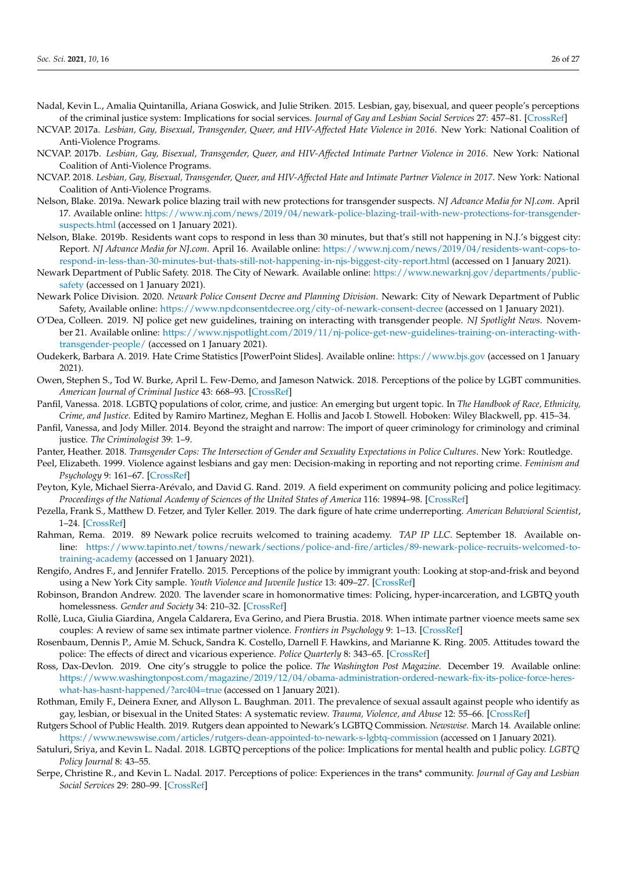- <span id="page-26-2"></span>Nadal, Kevin L., Amalia Quintanilla, Ariana Goswick, and Julie Striken. 2015. Lesbian, gay, bisexual, and queer people's perceptions of the criminal justice system: Implications for social services. *Journal of Gay and Lesbian Social Services* 27: 457–81. [\[CrossRef\]](http://doi.org/10.1080/10538720.2015.1085116)
- <span id="page-26-4"></span>NCVAP. 2017a. *Lesbian, Gay, Bisexual, Transgender, Queer, and HIV-Affected Hate Violence in 2016*. New York: National Coalition of Anti-Violence Programs.
- <span id="page-26-5"></span>NCVAP. 2017b. *Lesbian, Gay, Bisexual, Transgender, Queer, and HIV-Affected Intimate Partner Violence in 2016*. New York: National Coalition of Anti-Violence Programs.
- <span id="page-26-12"></span>NCVAP. 2018. *Lesbian, Gay, Bisexual, Transgender, Queer, and HIV-Affected Hate and Intimate Partner Violence in 2017*. New York: National Coalition of Anti-Violence Programs.
- <span id="page-26-25"></span>Nelson, Blake. 2019a. Newark police blazing trail with new protections for transgender suspects. *NJ Advance Media for NJ.com*. April 17. Available online: [https://www.nj.com/news/2019/04/newark-police-blazing-trail-with-new-protections-for-transgender](https://www.nj.com/news/2019/04/newark-police-blazing-trail-with-new-protections-for-transgender-suspects.html)[suspects.html](https://www.nj.com/news/2019/04/newark-police-blazing-trail-with-new-protections-for-transgender-suspects.html) (accessed on 1 January 2021).
- <span id="page-26-26"></span>Nelson, Blake. 2019b. Residents want cops to respond in less than 30 minutes, but that's still not happening in N.J.'s biggest city: Report. *NJ Advance Media for NJ.com*. April 16. Available online: [https://www.nj.com/news/2019/04/residents-want-cops-to](https://www.nj.com/news/2019/04/residents-want-cops-to-respond-in-less-than-30-minutes-but-thats-still-not-happening-in-njs-biggest-city-report.html)[respond-in-less-than-30-minutes-but-thats-still-not-happening-in-njs-biggest-city-report.html](https://www.nj.com/news/2019/04/residents-want-cops-to-respond-in-less-than-30-minutes-but-thats-still-not-happening-in-njs-biggest-city-report.html) (accessed on 1 January 2021).
- <span id="page-26-16"></span>Newark Department of Public Safety. 2018. The City of Newark. Available online: [https://www.newarknj.gov/departments/public](https://www.newarknj.gov/departments/public-safety)[safety](https://www.newarknj.gov/departments/public-safety) (accessed on 1 January 2021).
- <span id="page-26-18"></span>Newark Police Division. 2020. *Newark Police Consent Decree and Planning Division*. Newark: City of Newark Department of Public Safety, Available online: <https://www.npdconsentdecree.org/city-of-newark-consent-decree> (accessed on 1 January 2021).
- <span id="page-26-19"></span>O'Dea, Colleen. 2019. NJ police get new guidelines, training on interacting with transgender people. *NJ Spotlight News*. November 21. Available online: [https://www.njspotlight.com/2019/11/nj-police-get-new-guidelines-training-on-interacting-with](https://www.njspotlight.com/2019/11/nj-police-get-new-guidelines-training-on-interacting-with-transgender-people/)[transgender-people/](https://www.njspotlight.com/2019/11/nj-police-get-new-guidelines-training-on-interacting-with-transgender-people/) (accessed on 1 January 2021).
- <span id="page-26-8"></span>Oudekerk, Barbara A. 2019. Hate Crime Statistics [PowerPoint Slides]. Available online: <https://www.bjs.gov> (accessed on 1 January 2021).
- <span id="page-26-1"></span>Owen, Stephen S., Tod W. Burke, April L. Few-Demo, and Jameson Natwick. 2018. Perceptions of the police by LGBT communities. *American Journal of Criminal Justice* 43: 668–93. [\[CrossRef\]](http://doi.org/10.1007/s12103-017-9420-8)
- <span id="page-26-13"></span>Panfil, Vanessa. 2018. LGBTQ populations of color, crime, and justice: An emerging but urgent topic. In *The Handbook of Race, Ethnicity, Crime, and Justice*. Edited by Ramiro Martinez, Meghan E. Hollis and Jacob I. Stowell. Hoboken: Wiley Blackwell, pp. 415–34.
- <span id="page-26-0"></span>Panfil, Vanessa, and Jody Miller. 2014. Beyond the straight and narrow: The import of queer criminology for criminology and criminal justice. *The Criminologist* 39: 1–9.
- <span id="page-26-11"></span>Panter, Heather. 2018. *Transgender Cops: The Intersection of Gender and Sexuality Expectations in Police Cultures*. New York: Routledge.
- <span id="page-26-7"></span>Peel, Elizabeth. 1999. Violence against lesbians and gay men: Decision-making in reporting and not reporting crime. *Feminism and Psychology* 9: 161–67. [\[CrossRef\]](http://doi.org/10.1177/0959353599009002008)
- <span id="page-26-20"></span>Peyton, Kyle, Michael Sierra-Arévalo, and David G. Rand. 2019. A field experiment on community policing and police legitimacy. *Proceedings of the National Academy of Sciences of the United States of America* 116: 19894–98. [\[CrossRef\]](http://doi.org/10.1073/pnas.1910157116)
- <span id="page-26-10"></span>Pezella, Frank S., Matthew D. Fetzer, and Tyler Keller. 2019. The dark figure of hate crime underreporting. *American Behavioral Scientist*, 1–24. [\[CrossRef\]](http://doi.org/10.1177/0002764218823844)
- <span id="page-26-15"></span>Rahman, Rema. 2019. 89 Newark police recruits welcomed to training academy. *TAP IP LLC*. September 18. Available online: [https://www.tapinto.net/towns/newark/sections/police-and-fire/articles/89-newark-police-recruits-welcomed-to](https://www.tapinto.net/towns/newark/sections/police-and-fire/articles/89-newark-police-recruits-welcomed-to-training-academy)[training-academy](https://www.tapinto.net/towns/newark/sections/police-and-fire/articles/89-newark-police-recruits-welcomed-to-training-academy) (accessed on 1 January 2021).
- <span id="page-26-22"></span>Rengifo, Andres F., and Jennifer Fratello. 2015. Perceptions of the police by immigrant youth: Looking at stop-and-frisk and beyond using a New York City sample. *Youth Violence and Juvenile Justice* 13: 409–27. [\[CrossRef\]](http://doi.org/10.1177/1541204014547591)
- <span id="page-26-24"></span>Robinson, Brandon Andrew. 2020. The lavender scare in homonormative times: Policing, hyper-incarceration, and LGBTQ youth homelessness. *Gender and Society* 34: 210–32. [\[CrossRef\]](http://doi.org/10.1177/0891243220906172)
- <span id="page-26-9"></span>Rollè, Luca, Giulia Giardina, Angela Caldarera, Eva Gerino, and Piera Brustia. 2018. When intimate partner vioence meets same sex couples: A review of same sex intimate partner violence. *Frontiers in Psychology* 9: 1–13. [\[CrossRef\]](http://doi.org/10.3389/fpsyg.2018.01506)
- <span id="page-26-21"></span>Rosenbaum, Dennis P., Amie M. Schuck, Sandra K. Costello, Darnell F. Hawkins, and Marianne K. Ring. 2005. Attitudes toward the police: The effects of direct and vicarious experience. *Police Quarterly* 8: 343–65. [\[CrossRef\]](http://doi.org/10.1177/1098611104271085)
- <span id="page-26-17"></span>Ross, Dax-Devlon. 2019. One city's struggle to police the police. *The Washington Post Magazine*. December 19. Available online: [https://www.washingtonpost.com/magazine/2019/12/04/obama-administration-ordered-newark-fix-its-police-force-heres](https://www.washingtonpost.com/magazine/2019/12/04/obama-administration-ordered-newark-fix-its-police-force-heres-what-has-hasnt-happened/?arc404=true)[what-has-hasnt-happened/?arc404=true](https://www.washingtonpost.com/magazine/2019/12/04/obama-administration-ordered-newark-fix-its-police-force-heres-what-has-hasnt-happened/?arc404=true) (accessed on 1 January 2021).
- <span id="page-26-23"></span>Rothman, Emily F., Deinera Exner, and Allyson L. Baughman. 2011. The prevalence of sexual assault against people who identify as gay, lesbian, or bisexual in the United States: A systematic review. *Trauma, Violence, and Abuse* 12: 55–66. [\[CrossRef\]](http://doi.org/10.1177/1524838010390707)
- <span id="page-26-14"></span>Rutgers School of Public Health. 2019. Rutgers dean appointed to Newark's LGBTQ Commission. *Newswise*. March 14. Available online: <https://www.newswise.com/articles/rutgers-dean-appointed-to-newark-s-lgbtq-commission> (accessed on 1 January 2021).
- <span id="page-26-3"></span>Satuluri, Sriya, and Kevin L. Nadal. 2018. LGBTQ perceptions of the police: Implications for mental health and public policy. *LGBTQ Policy Journal* 8: 43–55.
- <span id="page-26-6"></span>Serpe, Christine R., and Kevin L. Nadal. 2017. Perceptions of police: Experiences in the trans\* community. *Journal of Gay and Lesbian Social Services* 29: 280–99. [\[CrossRef\]](http://doi.org/10.1080/10538720.2017.1319777)